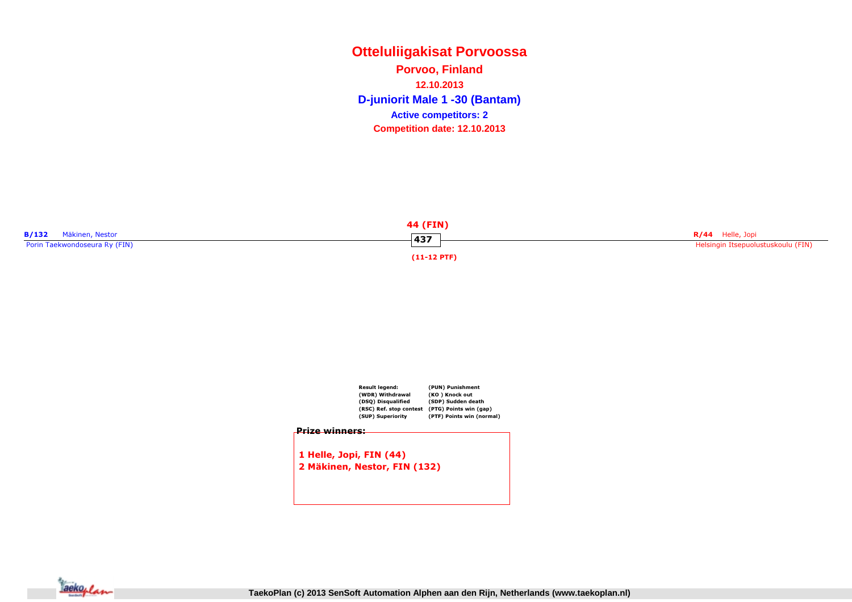**Otteluliigakisat PorvoossaD-juniorit Male 1 -30 (Bantam) Porvoo, Finland12.10.2013Competition date: 12.10.2013 Active competitors: 2**



|                       | <b>Result leaend:</b><br>(WDR) Withdrawal<br>(DSQ) Disqualified | (PUN) Punishment<br>(KO) Knock out<br>(SDP) Sudden death |
|-----------------------|-----------------------------------------------------------------|----------------------------------------------------------|
|                       | (RSC) Ref. stop contest                                         | (PTG) Points win (gap)                                   |
|                       | (SUP) Superiority                                               | (PTF) Points win (normal)                                |
| <b>Prize winners:</b> |                                                                 |                                                          |
|                       |                                                                 |                                                          |
|                       |                                                                 |                                                          |
|                       | 1 Helle, Jopi, FIN (44)                                         |                                                          |



**TaekoPlan (c) 2013 SenSoft Automation Alphen aan den Rijn, Netherlands (www.taekoplan.nl)**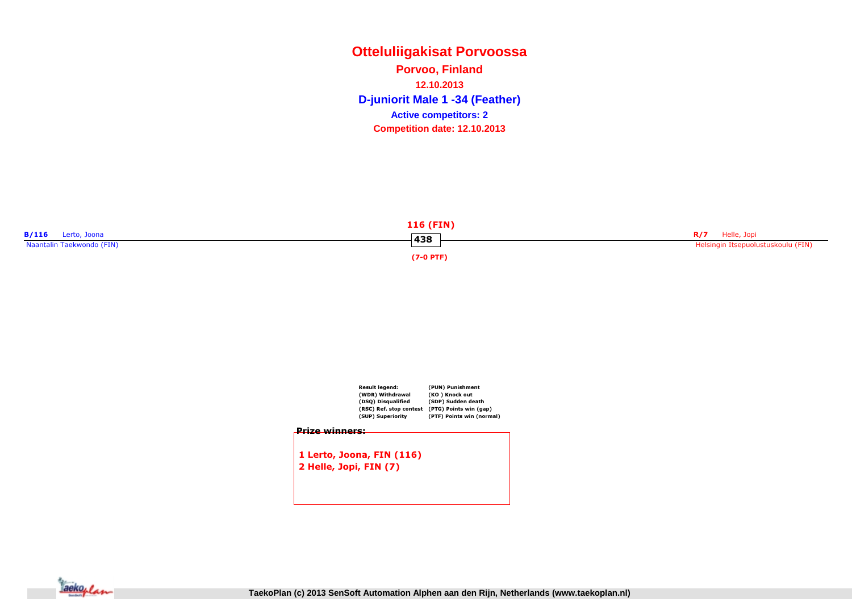**Otteluliigakisat PorvoossaD-juniorit Male 1 -34 (Feather) Porvoo, Finland12.10.2013Competition date: 12.10.2013 Active competitors: 2**



|                       | Result legend:<br>(WDR) Withdrawal<br>(DSQ) Disqualified<br>(RSC) Ref. stop contest<br>(SUP) Superiority | (PUN) Punishment<br>(KO) Knock out<br>(SDP) Sudden death<br>(PTG) Points win (gap)<br>(PTF) Points win (normal) |
|-----------------------|----------------------------------------------------------------------------------------------------------|-----------------------------------------------------------------------------------------------------------------|
| <u>Prize winners:</u> |                                                                                                          |                                                                                                                 |
|                       | 1 Lerto, Joona, FIN (116)                                                                                |                                                                                                                 |
|                       | 2 Helle, Jopi, FIN (7)                                                                                   |                                                                                                                 |
|                       |                                                                                                          |                                                                                                                 |
|                       |                                                                                                          |                                                                                                                 |

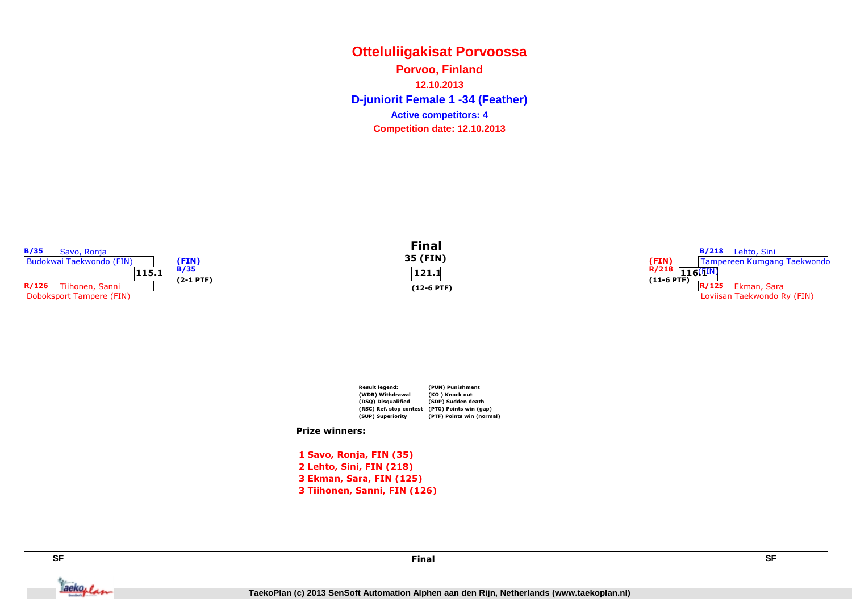# **Otteluliigakisat PorvoossaD-juniorit Female 1 -34 (Feather) Porvoo, Finland12.10.2013Competition date: 12.10.2013 Active competitors: 4**





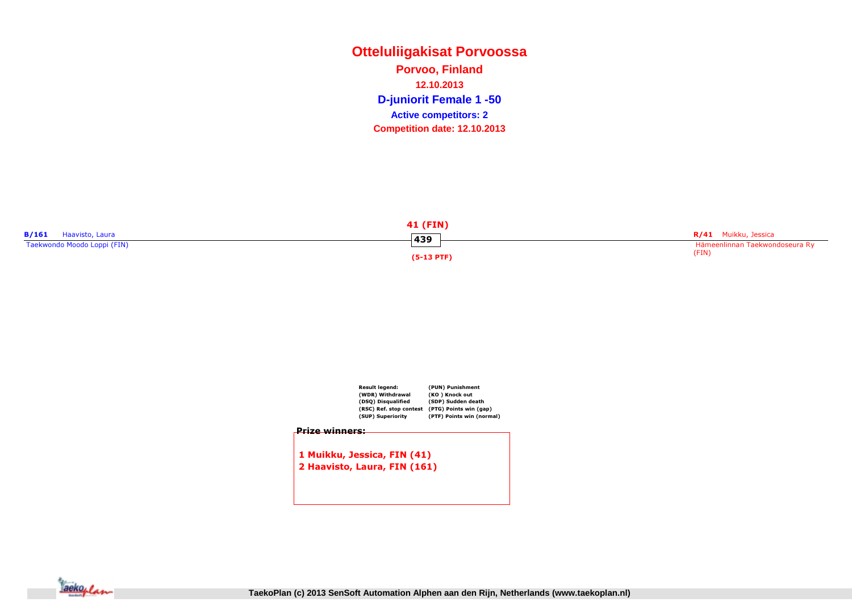# **Otteluliigakisat PorvoossaD-juniorit Female 1 -50 Porvoo, Finland12.10.2013Competition date: 12.10.2013 Active competitors: 2**

|                             | <b>41 (FIN)</b> |                                |
|-----------------------------|-----------------|--------------------------------|
| B/161<br>Haavisto, Laura    | 439             | R/41 Muikku, Jessica           |
| Taekwondo Moodo Loppi (FIN) |                 | Hämeenlinnan Taekwondoseura Ry |
|                             | (5-13 PTF)      | (FIN)                          |



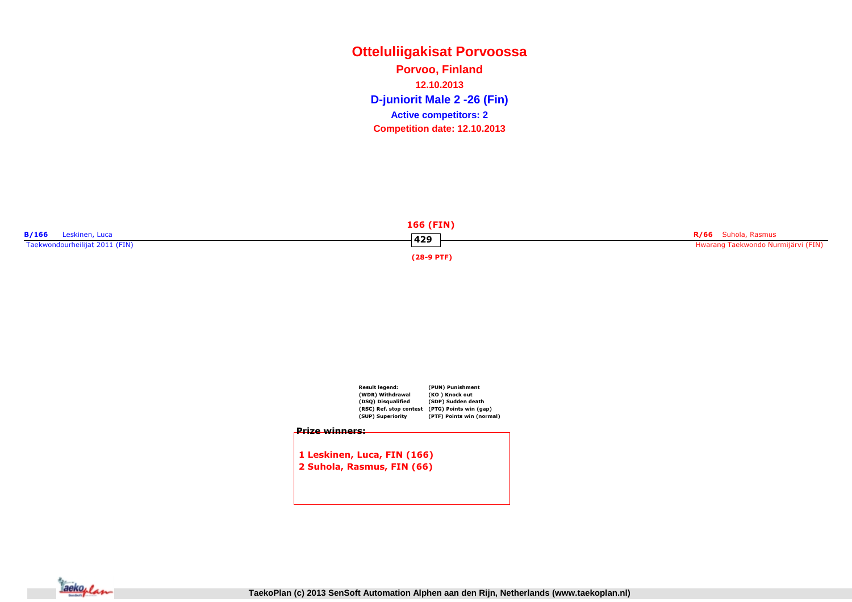**Otteluliigakisat PorvoossaD-juniorit Male 2 -26 (Fin) Porvoo, Finland12.10.2013Competition date: 12.10.2013 Active competitors: 2**





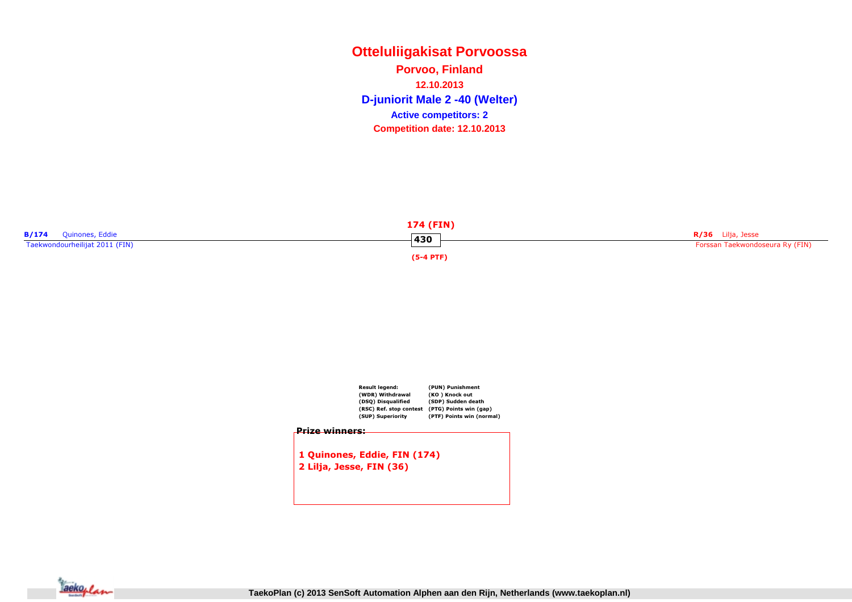**Otteluliigakisat PorvoossaD-juniorit Male 2 -40 (Welter) Porvoo, Finland12.10.2013Competition date: 12.10.2013 Active competitors: 2**





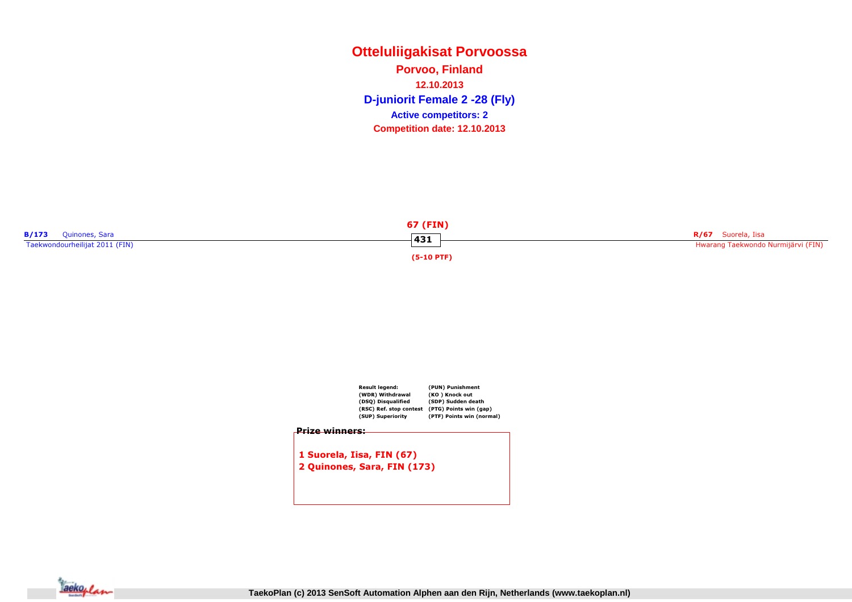# **Otteluliigakisat PorvoossaD-juniorit Female 2 -28 (Fly) Porvoo, Finland12.10.2013Competition date: 12.10.2013 Active competitors: 2**





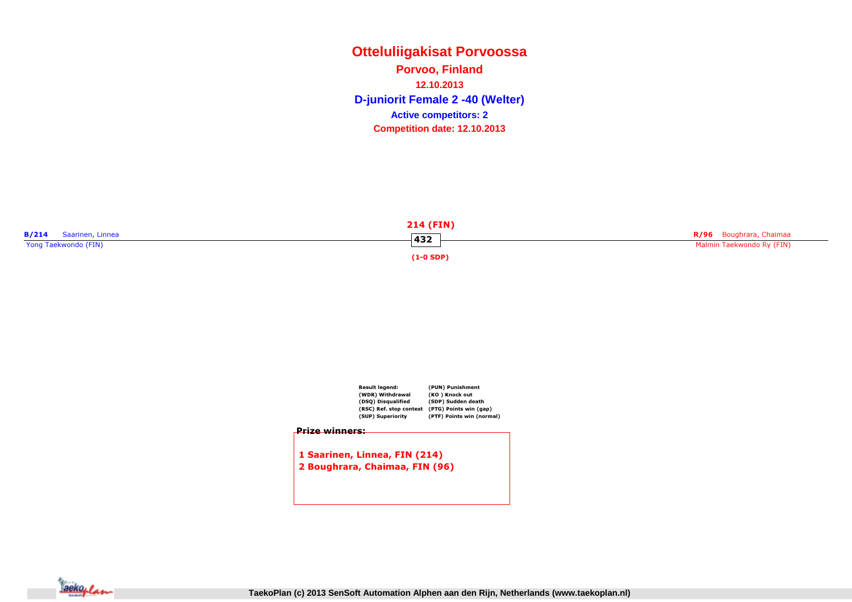**Otteluliigakisat PorvoossaD-juniorit Female 2 -40 (Welter) Porvoo, Finland12.10.2013Competition date: 12.10.2013 Active competitors: 2**





1 Saarinen, Linnea, FIN (214)2 Boughrara, Chaimaa, FIN (96)

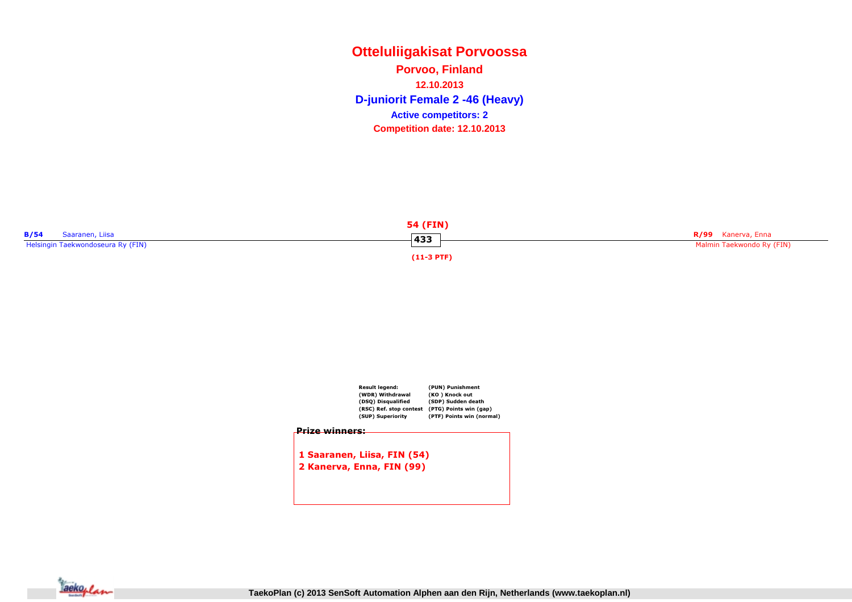# **Otteluliigakisat PorvoossaD-juniorit Female 2 -46 (Heavy) Porvoo, Finland12.10.2013Competition date: 12.10.2013 Active competitors: 2**





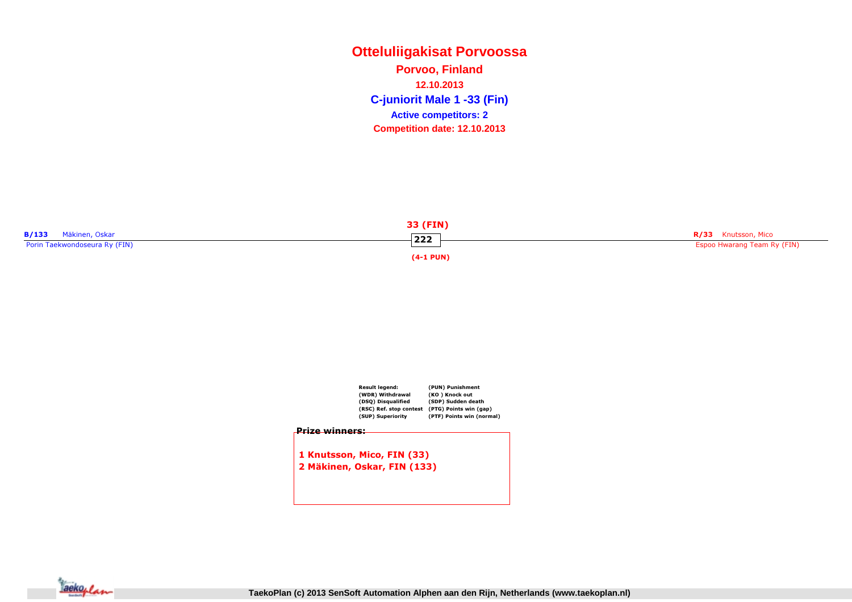# **Otteluliigakisat PorvoossaC-juniorit Male 1 -33 (Fin) Porvoo, Finland12.10.2013Competition date: 12.10.2013 Active competitors: 2**

|                               | 33 (FIN)       |                             |
|-------------------------------|----------------|-----------------------------|
| <b>B/133</b> Mäkinen, Oskar   | $-222$         | R/33 Knutsson, Mico         |
| Porin Taekwondoseura Ry (FIN) |                | Espoo Hwarang Team Ry (FIN) |
|                               | $(4-1$ PUN $)$ |                             |

 $\overline{\phantom{a}}$ 



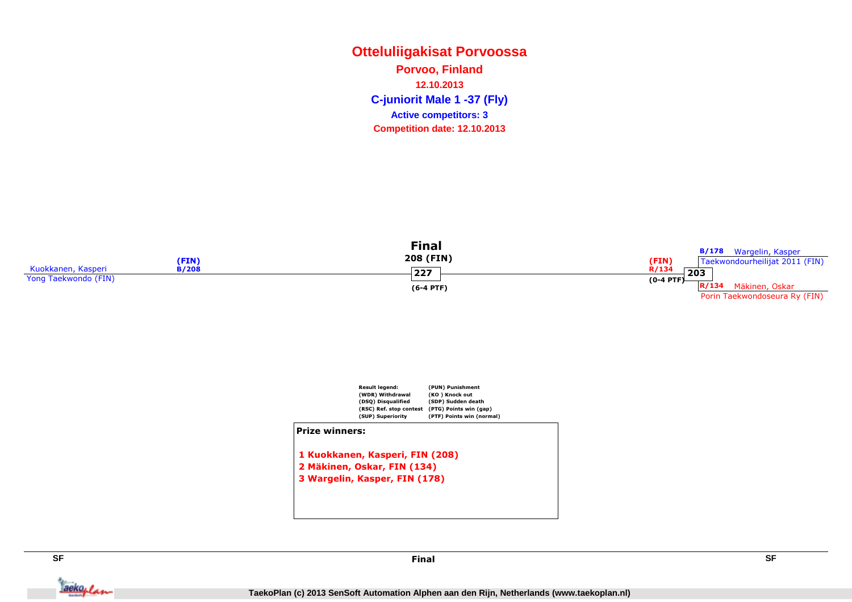# **Otteluliigakisat PorvoossaC-juniorit Male 1 -37 (Fly) Porvoo, Finland12.10.2013Competition date: 12.10.2013 Active competitors: 3**





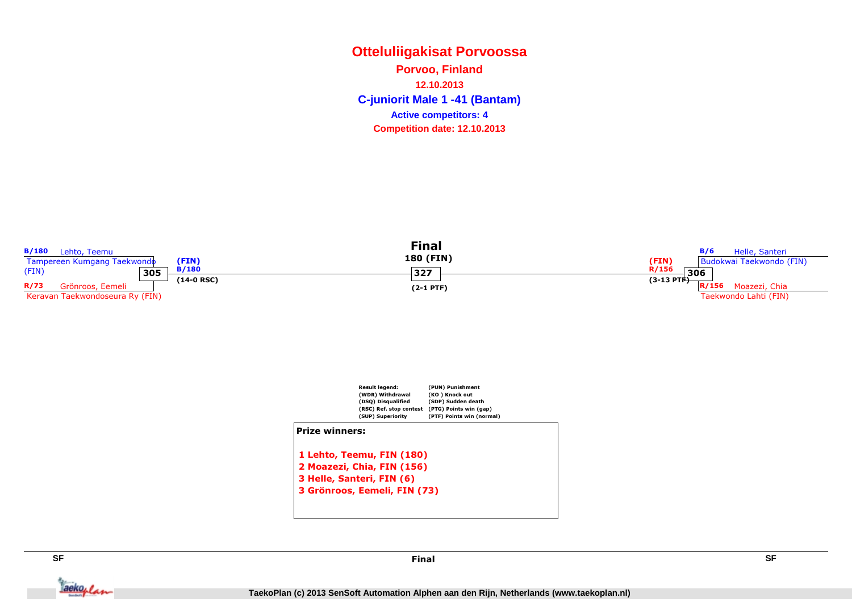# **Otteluliigakisat PorvoossaC-juniorit Male 1 -41 (Bantam) Porvoo, Finland12.10.2013Competition date: 12.10.2013 Active competitors: 4**





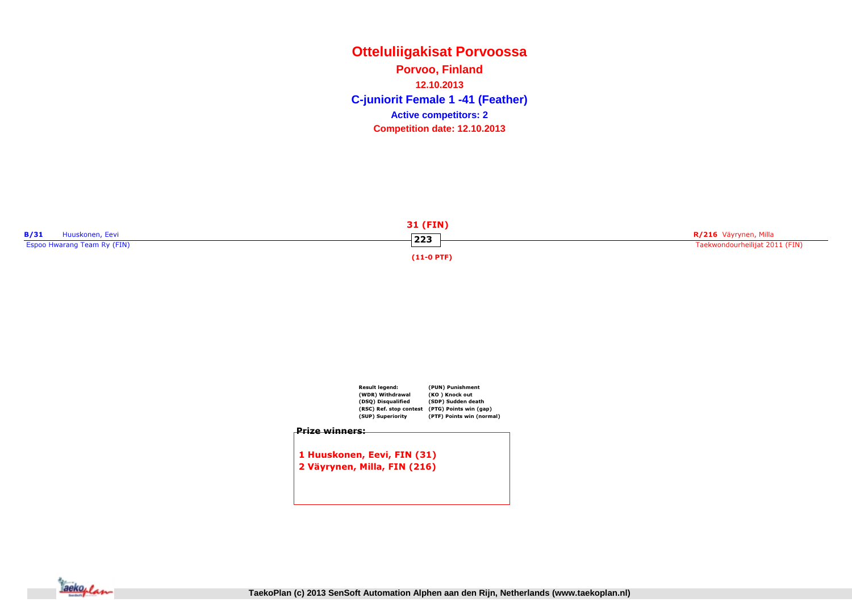# **Otteluliigakisat PorvoossaC-juniorit Female 1 -41 (Feather) Porvoo, Finland12.10.2013Competition date: 12.10.2013 Active competitors: 2**





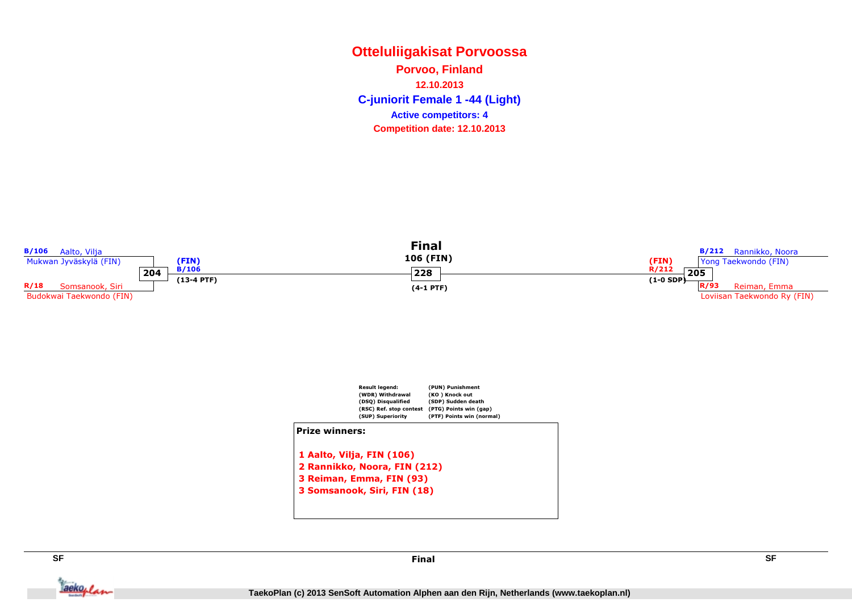# **Otteluliigakisat PorvoossaC-juniorit Female 1 -44 (Light) Porvoo, Finland12.10.2013Competition date: 12.10.2013 Active competitors: 4**





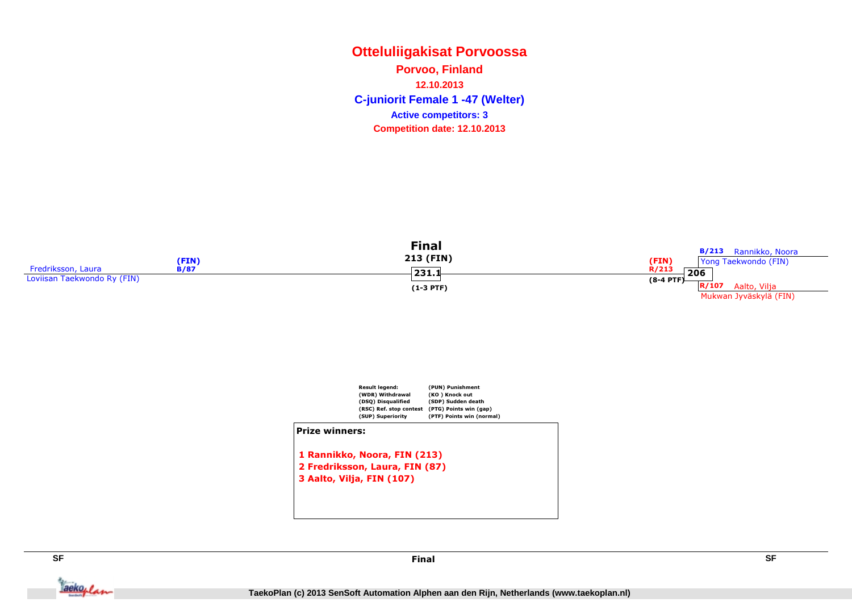# **Otteluliigakisat PorvoossaC-juniorit Female 1 -47 (Welter) Porvoo, Finland12.10.2013Competition date: 12.10.2013 Active competitors: 3**

|                             | (FIN)       | Final<br>213 (FIN) | <b>B/213</b> Rannikko, Noora<br>(FIN)<br>Yong Taekwondo (FIN) |
|-----------------------------|-------------|--------------------|---------------------------------------------------------------|
| Fredriksson, Laura          | <b>B/87</b> | 231.1              | R/213<br>206                                                  |
| Loviisan Taekwondo Ry (FIN) |             |                    | $(8-4$ PTF)                                                   |
|                             |             | $(1-3$ PTF)        | R/107<br>Aalto, Vilja                                         |
|                             |             |                    | Mukwan Jyväskylä (FIN)                                        |



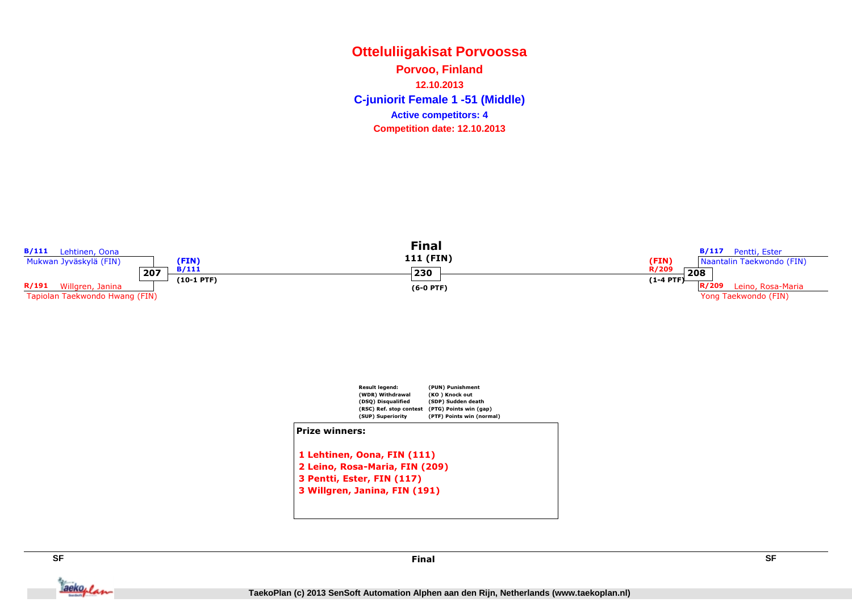# **Otteluliigakisat PorvoossaC-juniorit Female 1 -51 (Middle) Porvoo, Finland12.10.2013Competition date: 12.10.2013 Active competitors: 4**





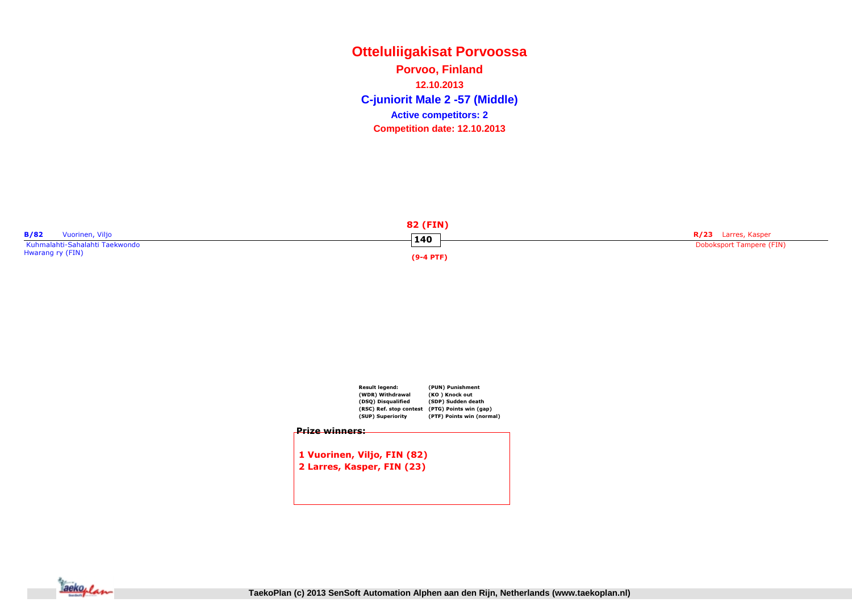**Otteluliigakisat PorvoossaC-juniorit Male 2 -57 (Middle) Porvoo, Finland12.10.2013Competition date: 12.10.2013 Active competitors: 2**



|                       | Result legend:              | (PUN) Punishment          |
|-----------------------|-----------------------------|---------------------------|
|                       | (WDR) Withdrawal            | (KO) Knock out            |
|                       | (DSQ) Disqualified          | (SDP) Sudden death        |
|                       | (RSC) Ref. stop contest     | (PTG) Points win (gap)    |
|                       | (SUP) Superiority           | (PTF) Points win (normal) |
| <u>Prize winners:</u> |                             |                           |
|                       |                             |                           |
|                       |                             |                           |
|                       |                             |                           |
|                       | 1 Vuorinen, Viljo, FIN (82) |                           |
|                       |                             |                           |
|                       | 2 Larres, Kasper, FIN (23)  |                           |
|                       |                             |                           |
|                       |                             |                           |
|                       |                             |                           |

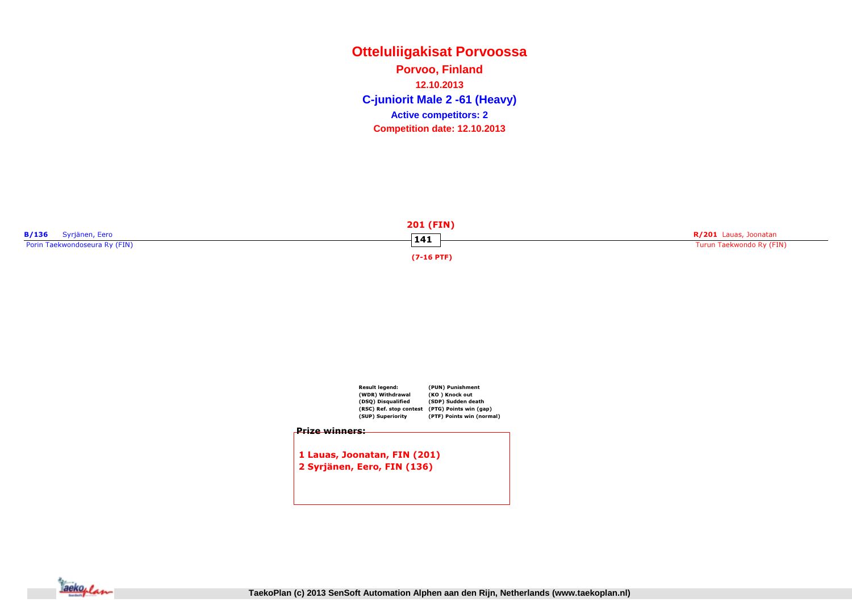**Otteluliigakisat PorvoossaC-juniorit Male 2 -61 (Heavy) Porvoo, Finland12.10.2013Competition date: 12.10.2013 Active competitors: 2**





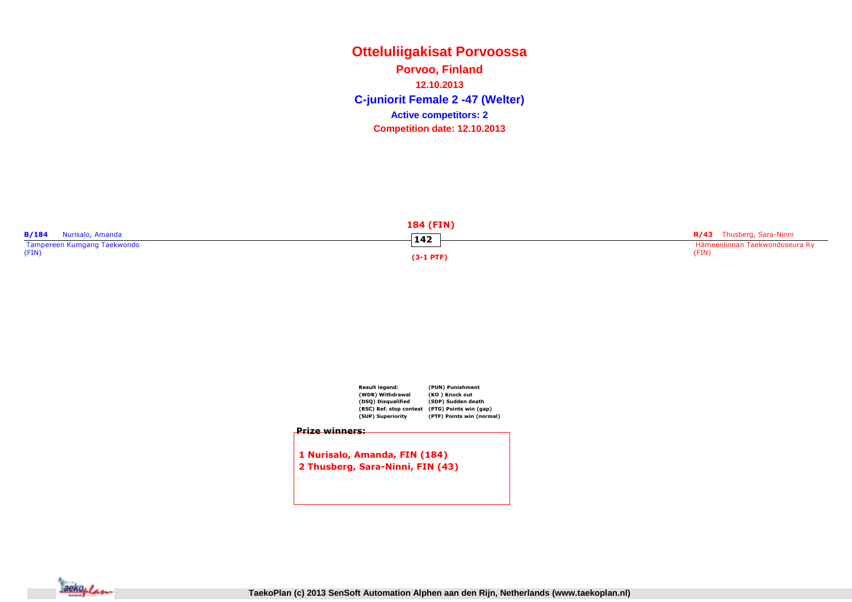# **Otteluliigakisat PorvoossaC-juniorit Female 2 -47 (Welter) Porvoo, Finland12.10.2013Competition date: 12.10.2013 Active competitors: 2**

|                                  | <b>184 (FIN)</b> |                                  |
|----------------------------------|------------------|----------------------------------|
| <b>B/184</b><br>Nurisalo, Amanda | 142              | <b>R/43</b> Thusberg, Sara-Ninni |
| Tampereen Kumgang Taekwondo      |                  | Hämeenlinnan Taekwondoseura Ry   |
| (FIN)                            | $(3-1$ PTF)      | (FIN)                            |



1 Nurisalo, Amanda, FIN (184)2 Thusberg, Sara-Ninni, FIN (43)

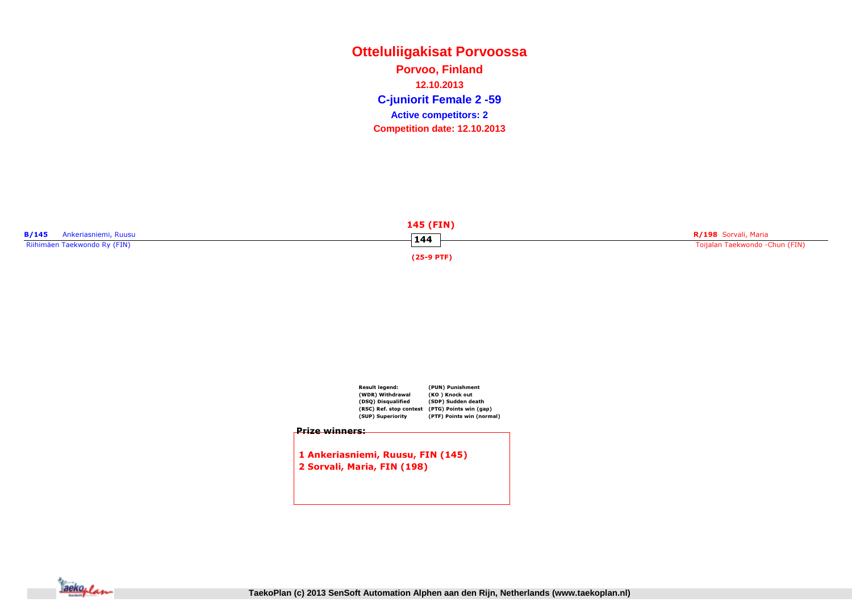# **Otteluliigakisat PorvoossaC-juniorit Female 2 -59 Porvoo, Finland12.10.2013Competition date: 12.10.2013 Active competitors: 2**





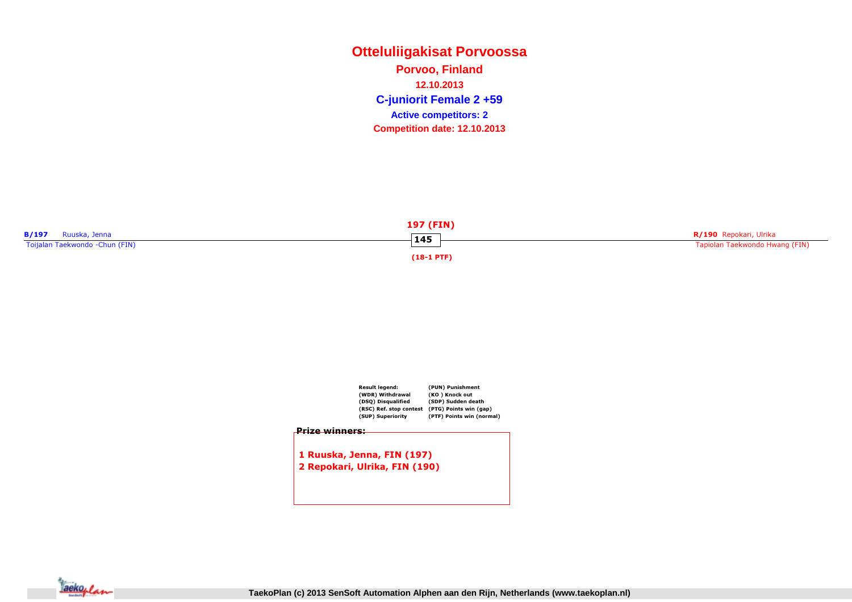**Otteluliigakisat PorvoossaC-juniorit Female 2 +59 Porvoo, Finland12.10.2013Competition date: 12.10.2013 Active competitors: 2**





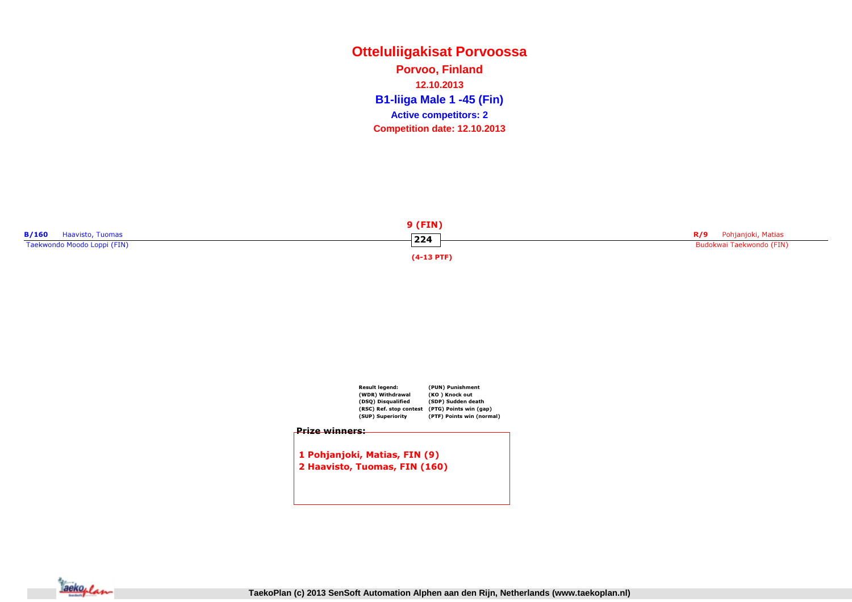# **Otteluliigakisat PorvoossaB1-liiga Male 1 -45 (Fin) Porvoo, Finland12.10.2013Competition date: 12.10.2013 Active competitors: 2**





2 Haavisto, Tuomas, FIN (160)

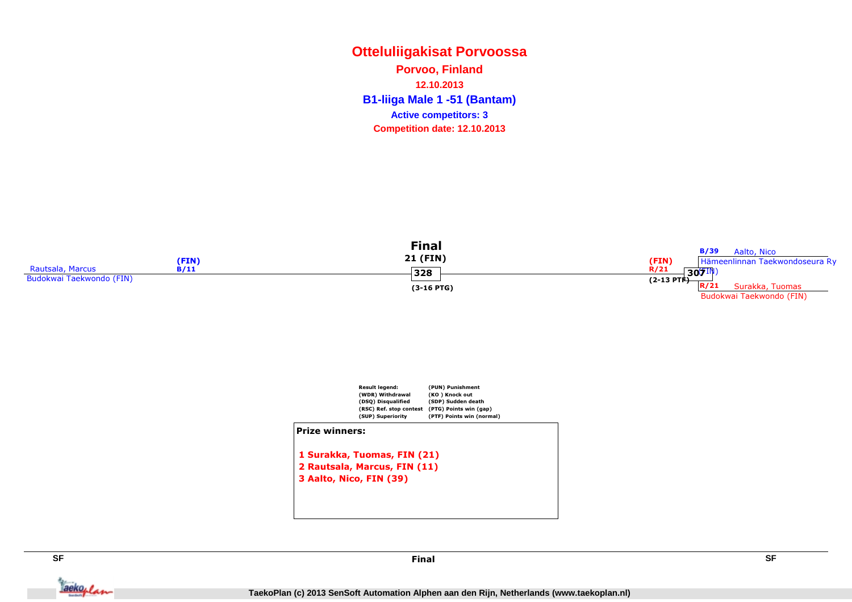# **Otteluliigakisat PorvoossaB1-liiga Male 1 -51 (Bantam) Porvoo, Finland12.10.2013Competition date: 12.10.2013 Active competitors: 3**





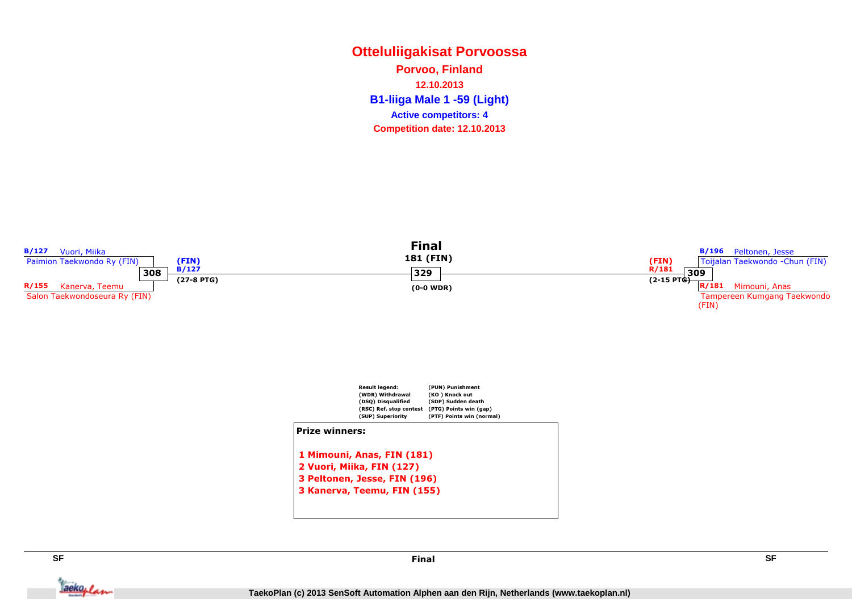# **Otteluliigakisat PorvoossaB1-liiga Male 1 -59 (Light) Porvoo, Finland12.10.2013Competition date: 12.10.2013 Active competitors: 4**





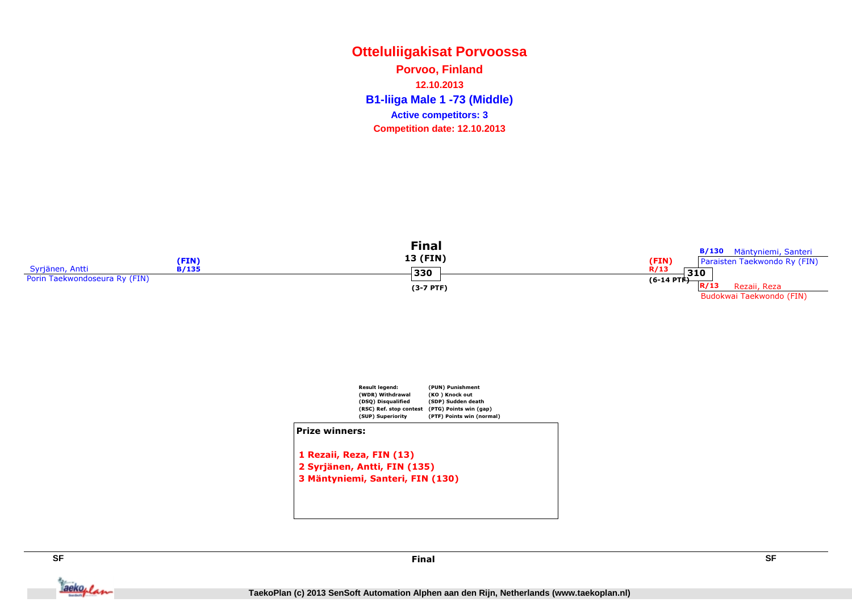# **Otteluliigakisat PorvoossaB1-liiga Male 1 -73 (Middle) Porvoo, Finland12.10.2013Competition date: 12.10.2013 Active competitors: 3**





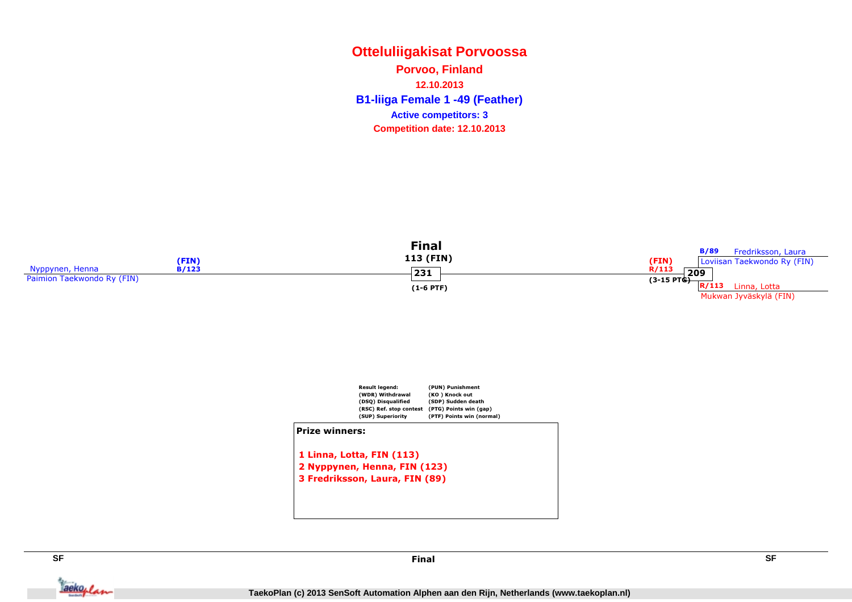# **Otteluliigakisat PorvoossaB1-liiga Female 1 -49 (Feather) Porvoo, Finland12.10.2013Competition date: 12.10.2013 Active competitors: 3**





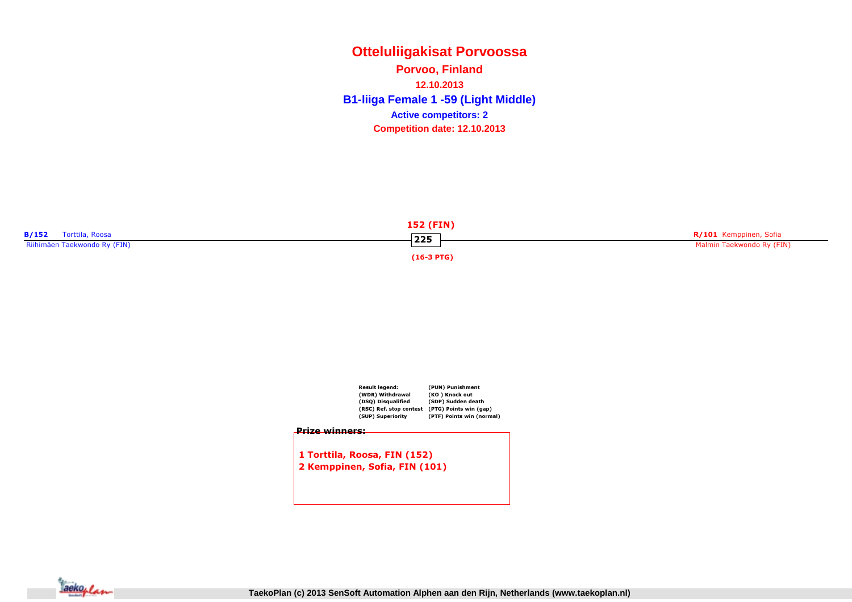**Otteluliigakisat PorvoossaB1-liiga Female 1 -59 (Light Middle) Porvoo, Finland12.10.2013Competition date: 12.10.2013 Active competitors: 2**





2 Kemppinen, Sofia, FIN (101)

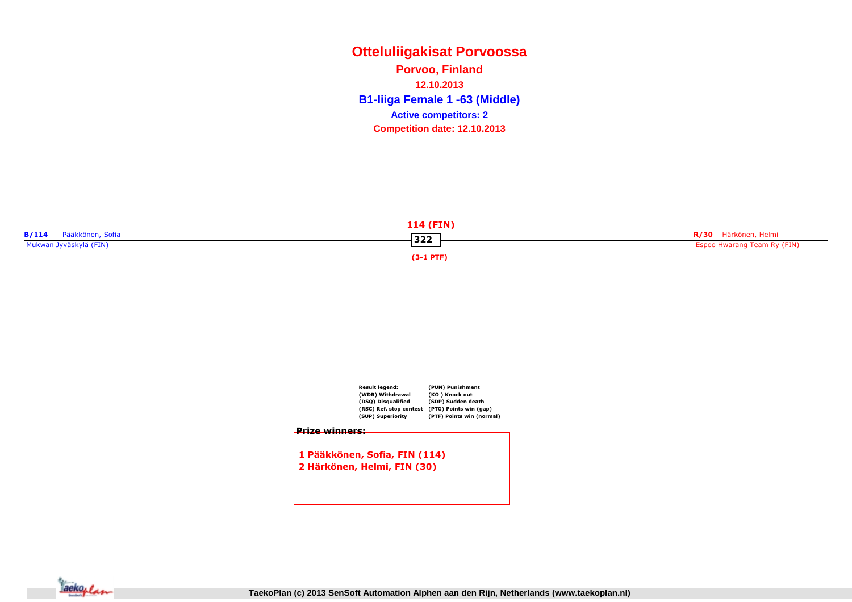**Otteluliigakisat PorvoossaB1-liiga Female 1 -63 (Middle) Porvoo, Finland12.10.2013Competition date: 12.10.2013 Active competitors: 2**





2 Härkönen, Helmi, FIN (30)

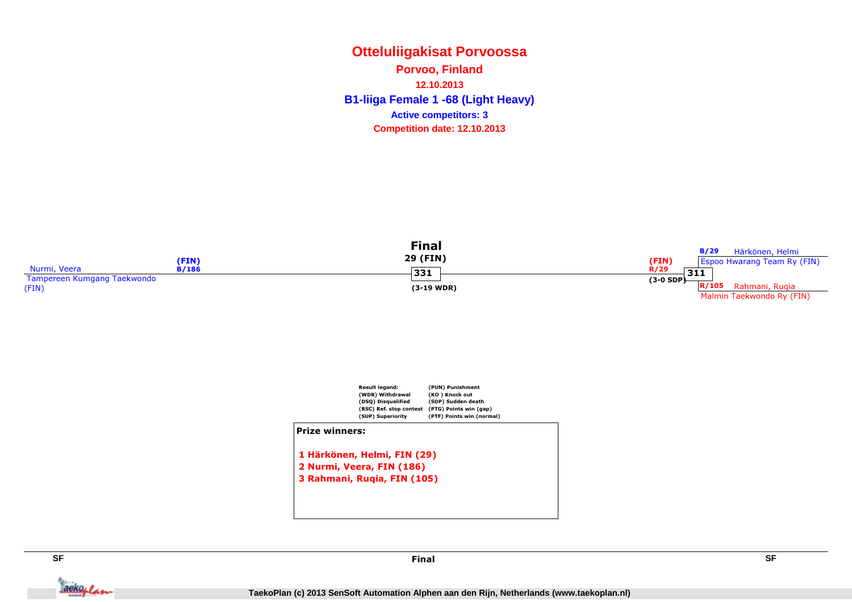# **Otteluliigakisat PorvoossaB1-liiga Female 1 -68 (Light Heavy) Porvoo, Finland12.10.2013Competition date: 12.10.2013 Active competitors: 3**





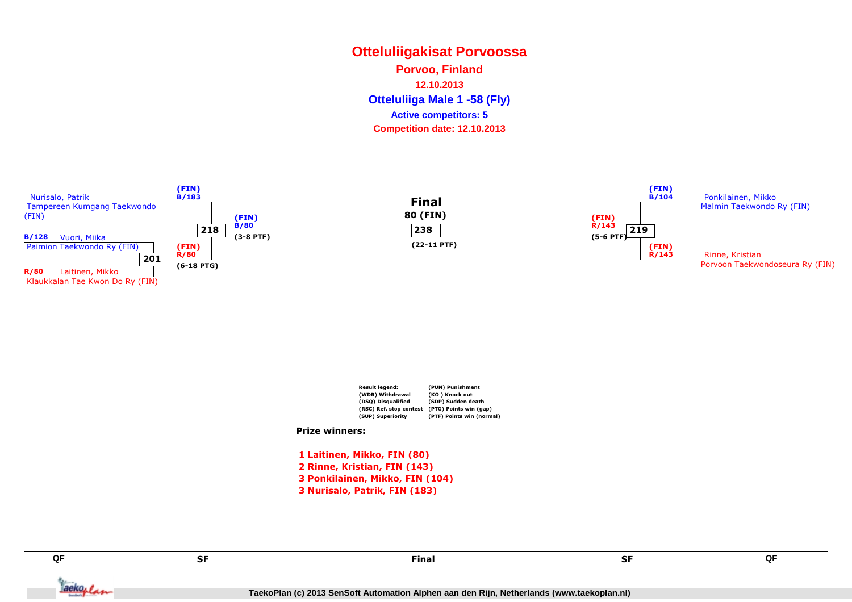# **Otteluliigakisat PorvoossaOtteluliiga Male 1 -58 (Fly) Porvoo, Finland12.10.2013Competition date: 12.10.2013 Active competitors: 5**





SF

**QF**

Taekoplan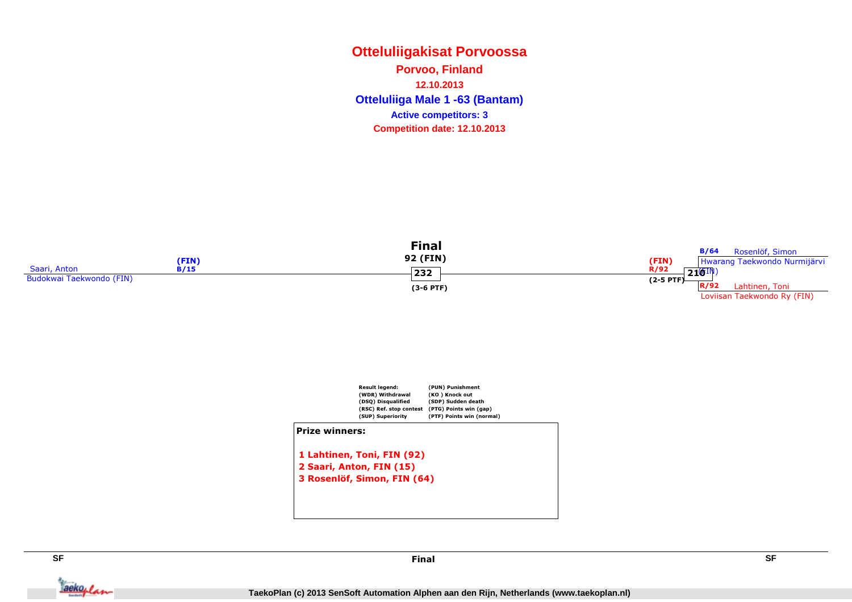# **Otteluliigakisat PorvoossaOtteluliiga Male 1 -63 (Bantam) Porvoo, Finland12.10.2013Competition date: 12.10.2013 Active competitors: 3**





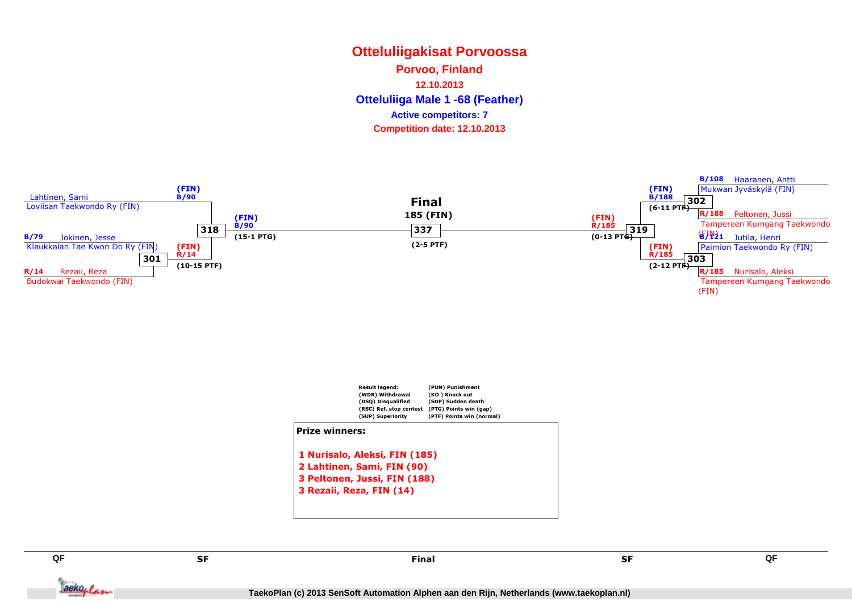# **Otteluliigakisat PorvoossaOtteluliiga Male 1 -68 (Feather) Porvoo, Finland12.10.2013Competition date: 12.10.2013 Active competitors: 7**







**QF**

Tackoplan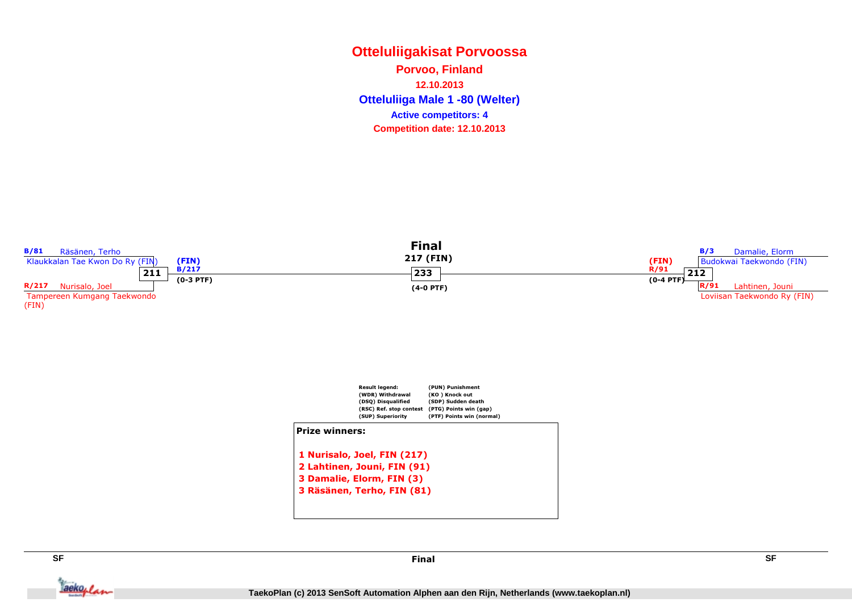**Otteluliigakisat PorvoossaOtteluliiga Male 1 -80 (Welter) Porvoo, Finland12.10.2013Competition date: 12.10.2013 Active competitors: 4**





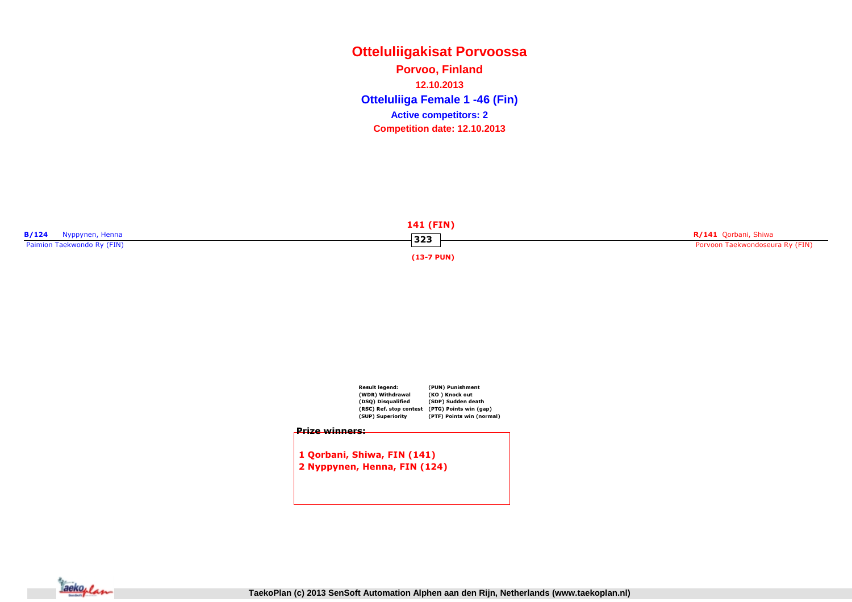# **Otteluliigakisat PorvoossaOtteluliiga Female 1 -46 (Fin) Porvoo, Finland12.10.2013Competition date: 12.10.2013 Active competitors: 2**





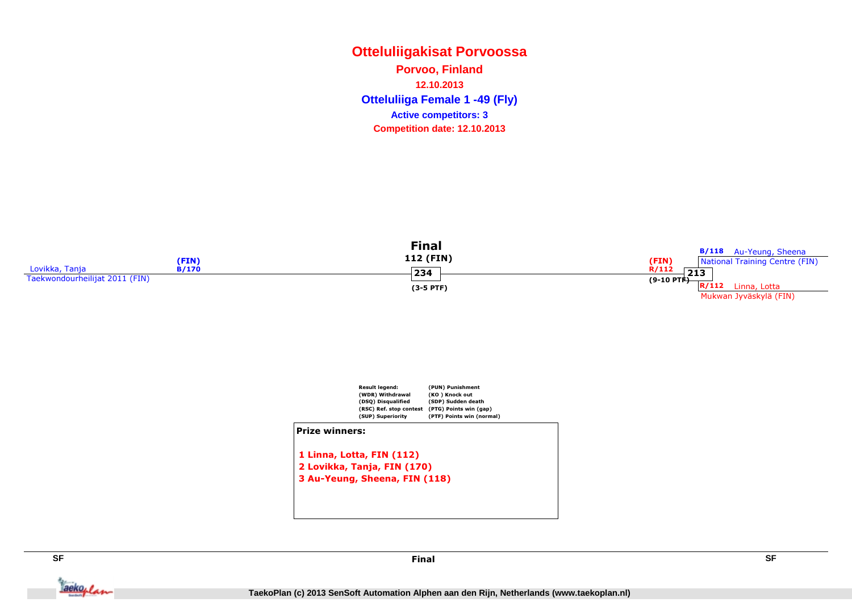# **Otteluliigakisat PorvoossaOtteluliiga Female 1 -49 (Fly) Porvoo, Finland12.10.2013Competition date: 12.10.2013 Active competitors: 3**





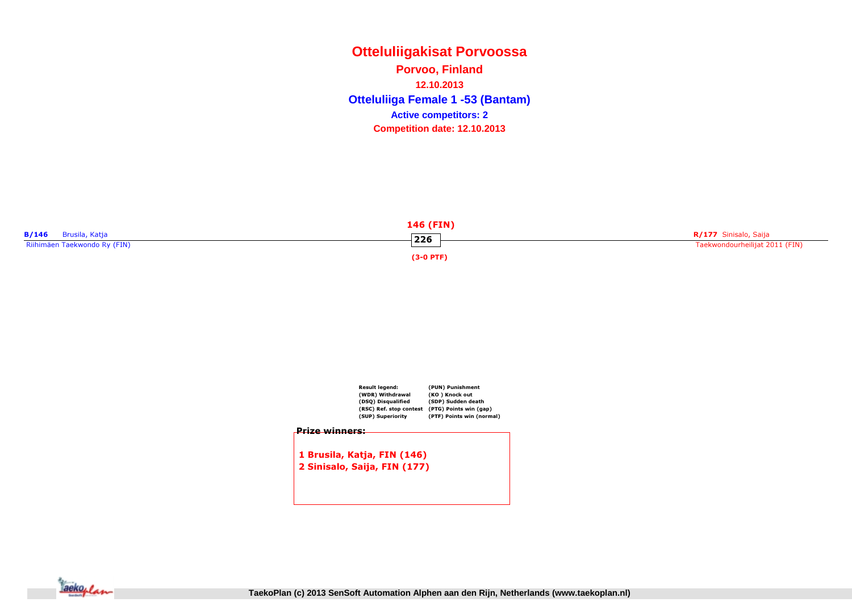**Otteluliigakisat PorvoossaOtteluliiga Female 1 -53 (Bantam) Porvoo, Finland12.10.2013Competition date: 12.10.2013 Active competitors: 2**



| Result legend:               | (PUN) Punishment          |
|------------------------------|---------------------------|
| (WDR) Withdrawal             | (KO) Knock out            |
| (DSQ) Disqualified           | (SDP) Sudden death        |
| (RSC) Ref. stop contest      | (PTG) Points win (gap)    |
| (SUP) Superiority            | (PTF) Points win (normal) |
| 1 Brusila, Katja, FIN (146)  |                           |
|                              |                           |
| 2 Sinisalo, Saija, FIN (177) |                           |
|                              |                           |
|                              |                           |
|                              |                           |

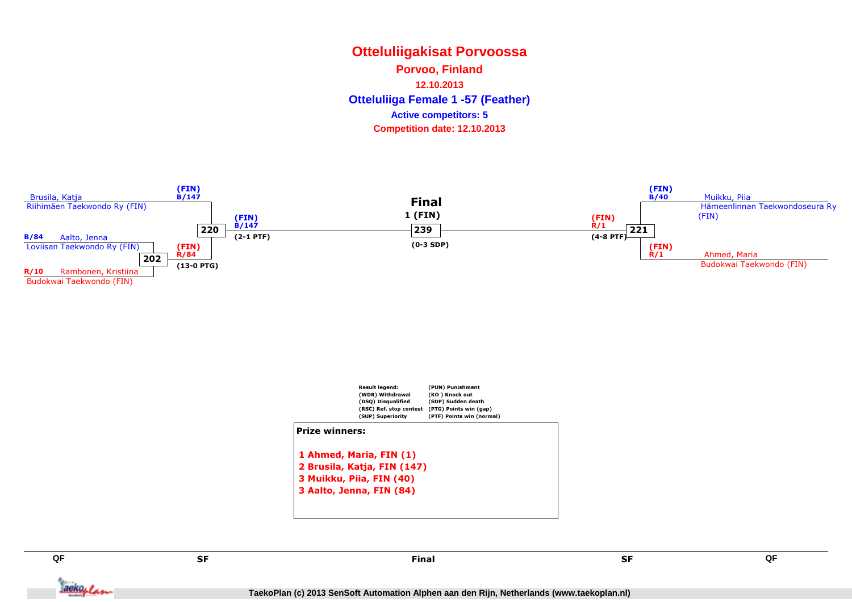### **Otteluliigakisat PorvoossaOtteluliiga Female 1 -57 (Feather) Porvoo, Finland12.10.2013Competition date: 12.10.2013 Active competitors: 5**







**QF**

Tackoplan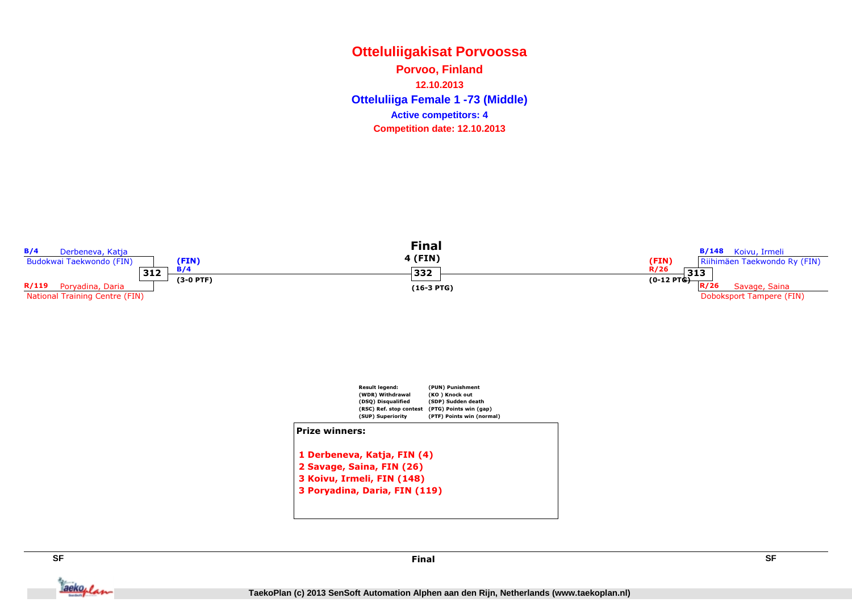**Otteluliigakisat PorvoossaOtteluliiga Female 1 -73 (Middle) Porvoo, Finland12.10.2013Competition date: 12.10.2013 Active competitors: 4**





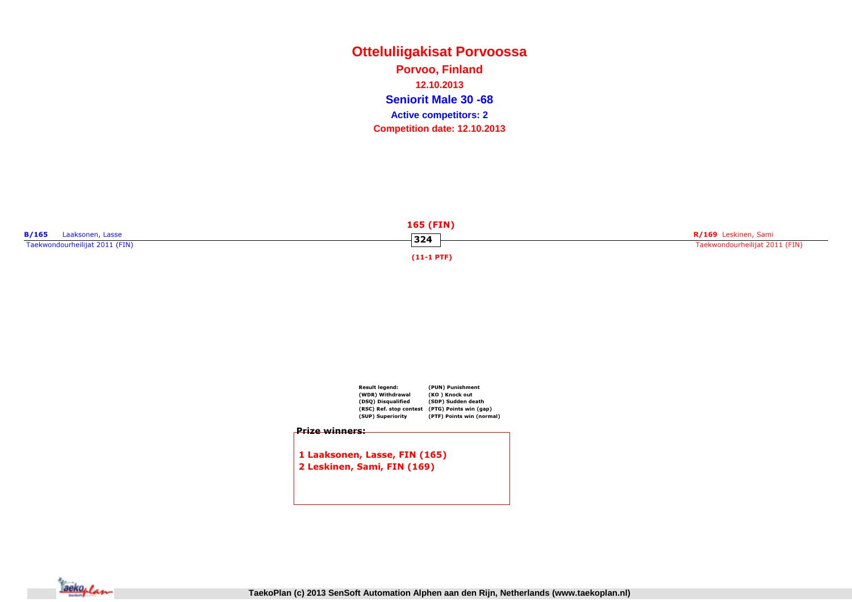**Otteluliigakisat PorvoossaSeniorit Male 30 -68 Active competitors: 2Porvoo, Finland12.10.2013Competition date: 12.10.2013**





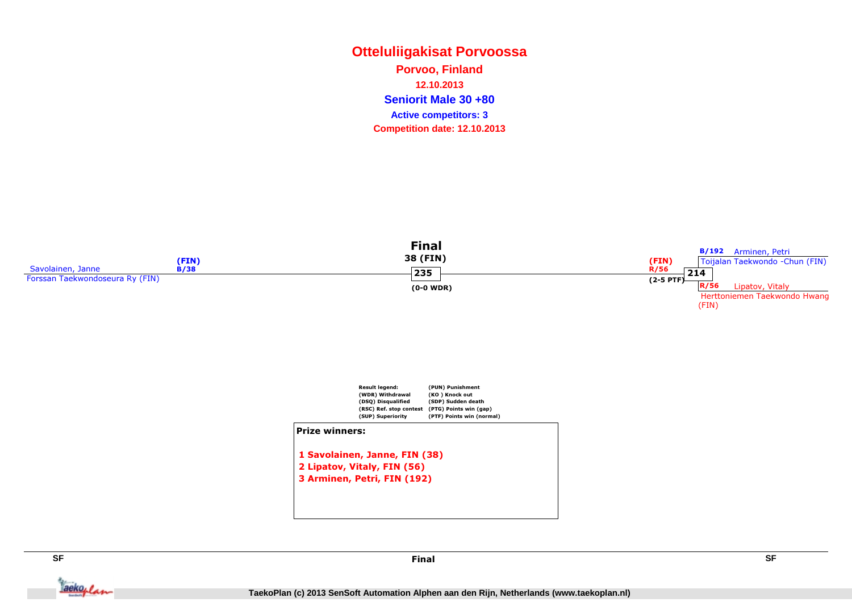### **Otteluliigakisat PorvoossaSeniorit Male 30 +80 Active competitors: 3Porvoo, Finland12.10.2013Competition date: 12.10.2013**





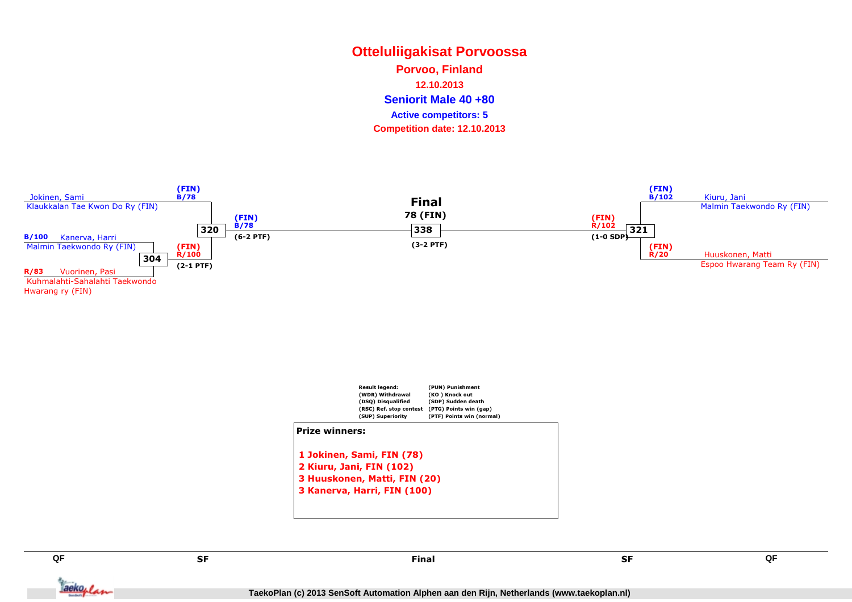### **Otteluliigakisat PorvoossaSeniorit Male 40 +80 Active competitors: 5Porvoo, Finland12.10.2013Competition date: 12.10.2013**







**QF**

Tackoplan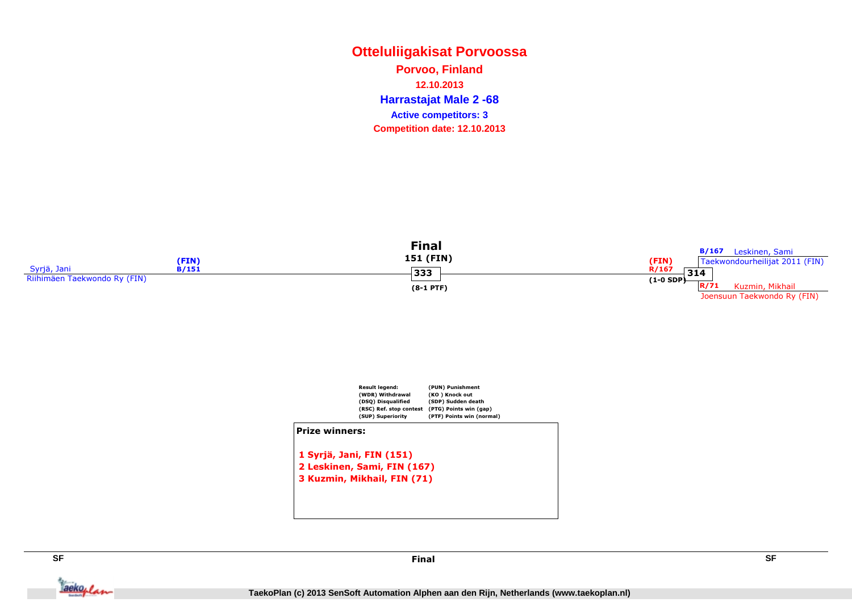### **Otteluliigakisat PorvoossaHarrastajat Male 2 -68 Porvoo, Finland12.10.2013Competition date: 12.10.2013 Active competitors: 3**





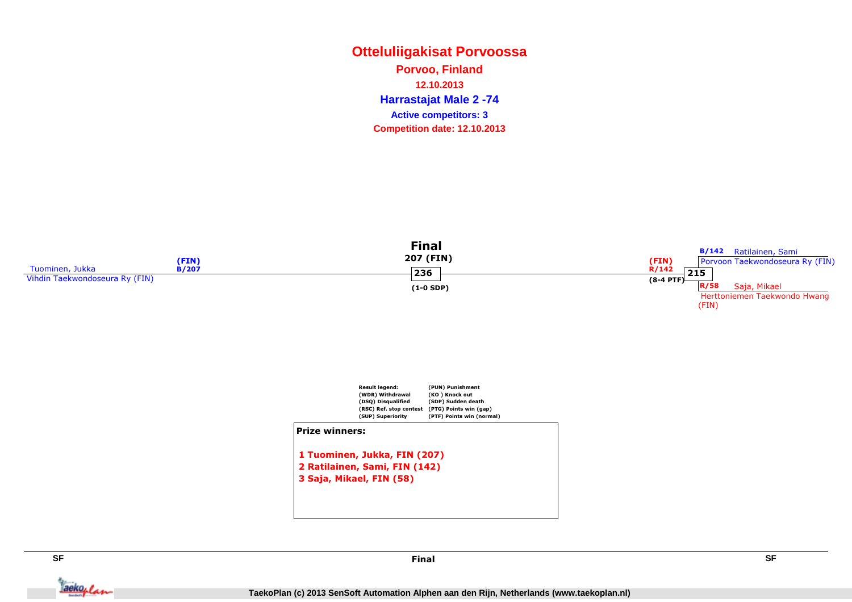### **Otteluliigakisat PorvoossaHarrastajat Male 2 -74 Porvoo, Finland12.10.2013Competition date: 12.10.2013 Active competitors: 3**





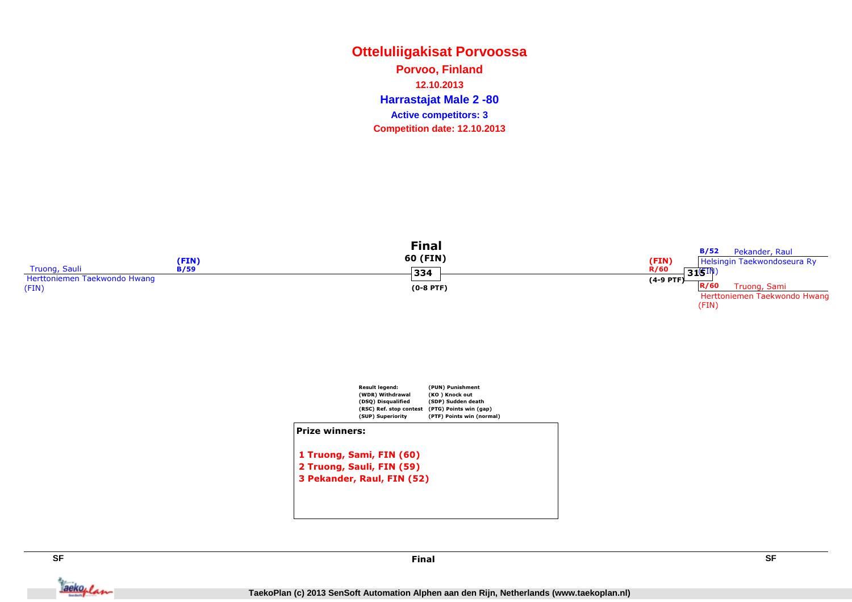### **Otteluliigakisat PorvoossaHarrastajat Male 2 -80 Porvoo, Finland12.10.2013Competition date: 12.10.2013 Active competitors: 3**





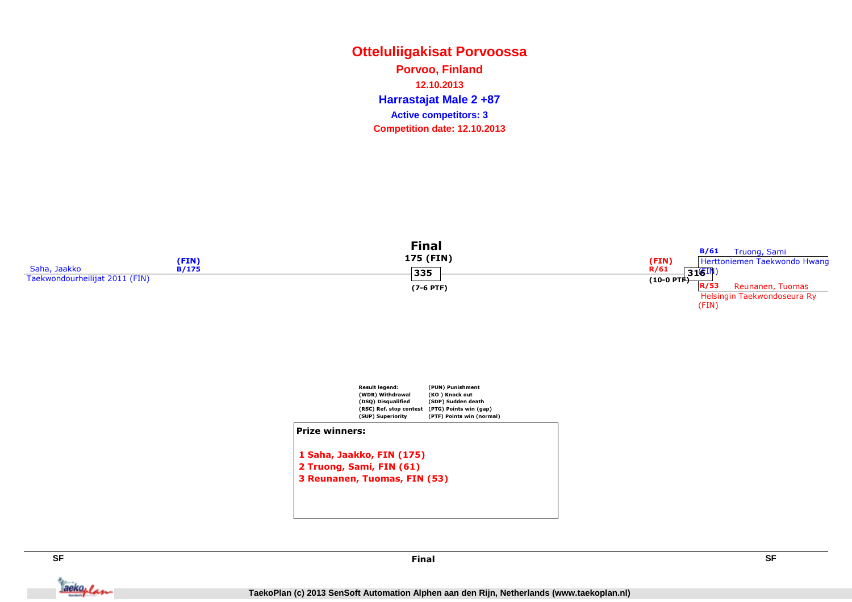### **Otteluliigakisat PorvoossaHarrastajat Male 2 +87 Porvoo, Finland12.10.2013Competition date: 12.10.2013 Active competitors: 3**





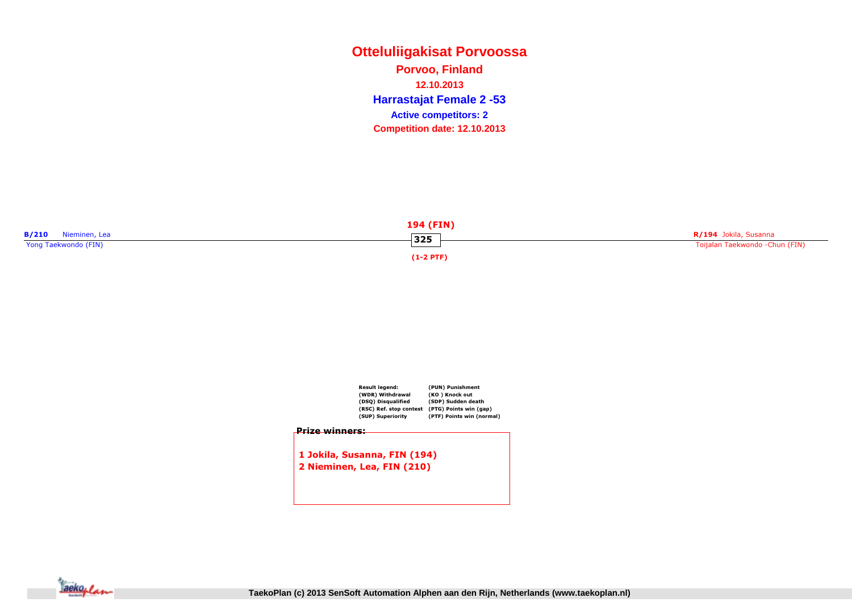**Otteluliigakisat PorvoossaHarrastajat Female 2 -53 Porvoo, Finland12.10.2013Competition date: 12.10.2013 Active competitors: 2**





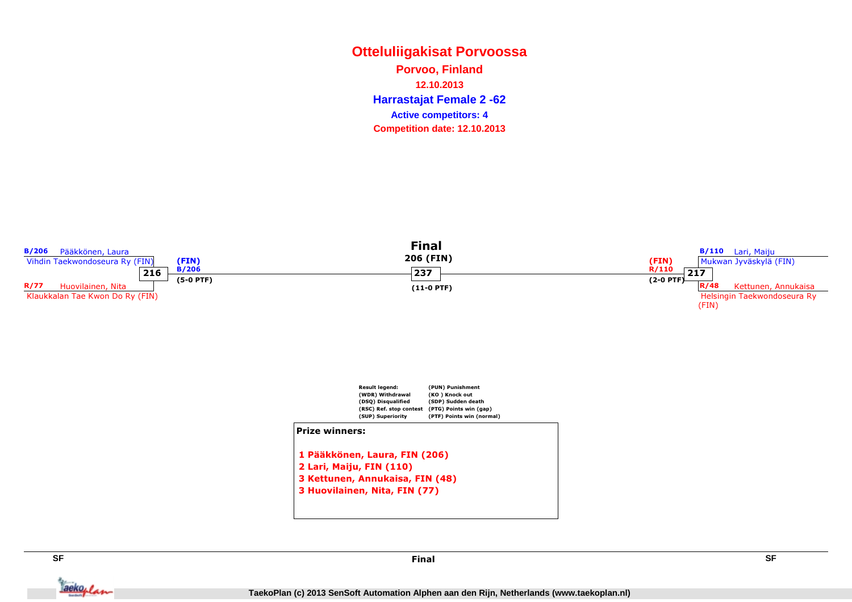**Otteluliigakisat PorvoossaHarrastajat Female 2 -62 Porvoo, Finland12.10.2013Competition date: 12.10.2013 Active competitors: 4**





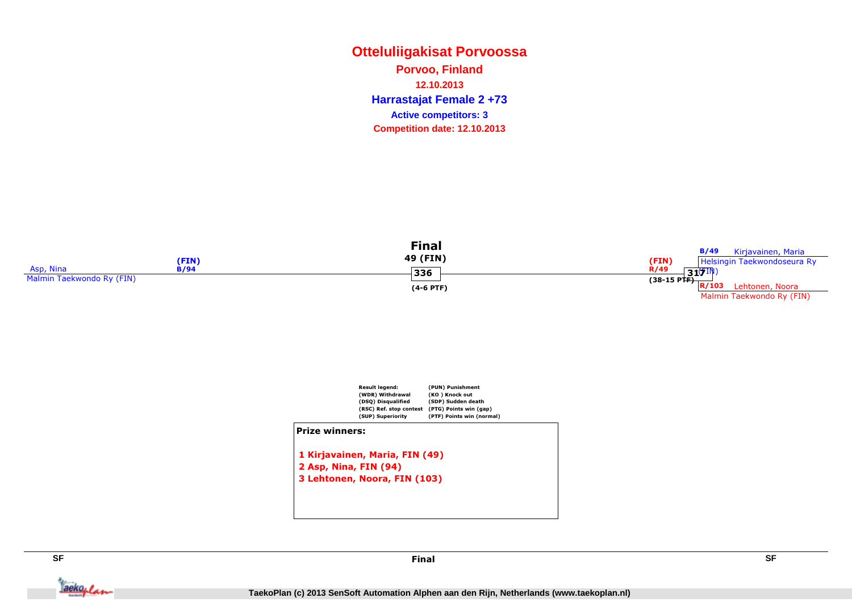### **Otteluliigakisat PorvoossaHarrastajat Female 2 +73 Porvoo, Finland12.10.2013Competition date: 12.10.2013 Active competitors: 3**

|                           |                     | Final<br>49 (FIN) | B/49<br>Kirjavainen, Maria                         |
|---------------------------|---------------------|-------------------|----------------------------------------------------|
| Asp, Nina                 | (FIN<br><b>B/94</b> | 336               | (FIN)<br>Helsingin Taekwondoseura Ry<br>R/49<br>31 |
| Malmin Taekwondo Ry (FIN) |                     | $(4-6$ PTF)       | (38-15 PTF) $R/103$ Herm<br>Lehtonen, Noora        |
|                           |                     |                   | Malmin Taekwondo Ry (FIN)                          |



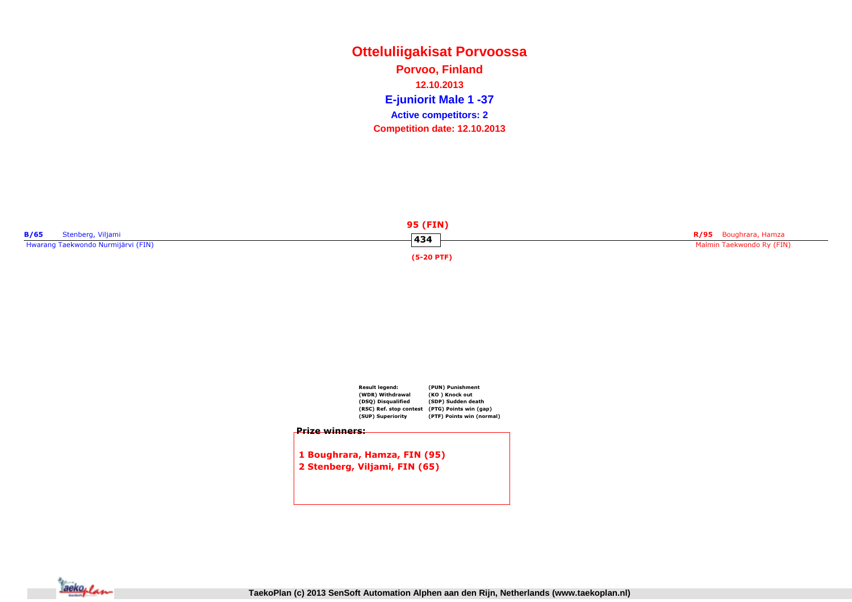### **Otteluliigakisat PorvoossaE-juniorit Male 1 -37 Active competitors: 2Porvoo, Finland12.10.2013Competition date: 12.10.2013**





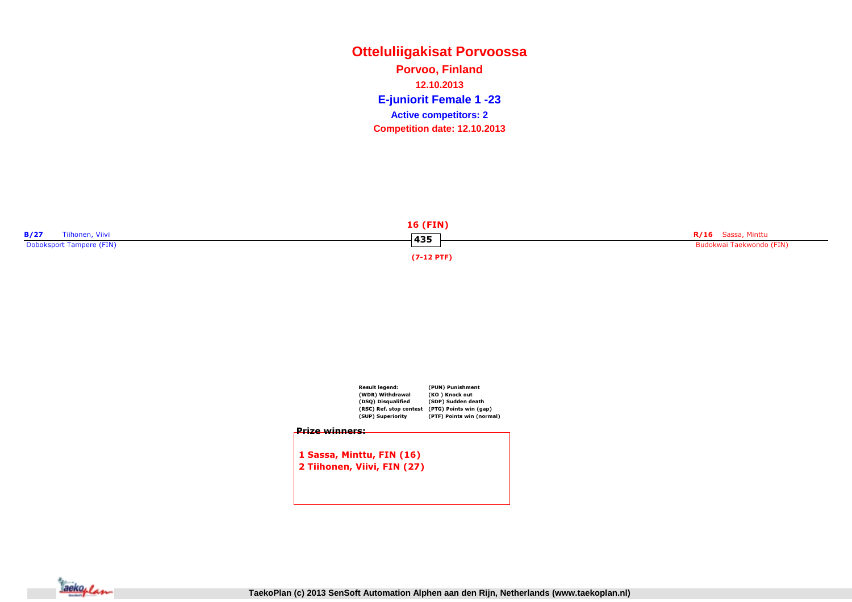### **Otteluliigakisat PorvoossaE-juniorit Female 1 -23 Porvoo, Finland12.10.2013Competition date: 12.10.2013 Active competitors: 2**





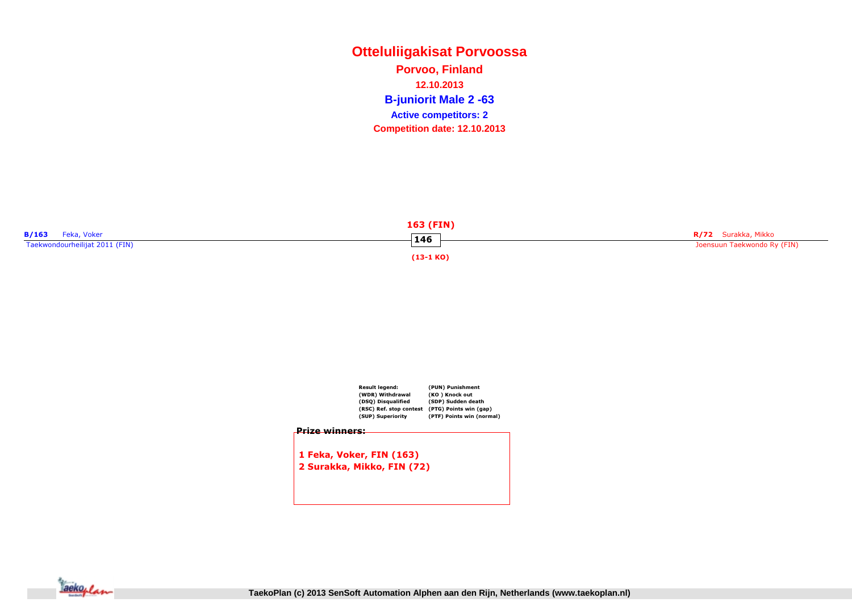**Otteluliigakisat PorvoossaB-juniorit Male 2 -63 Active competitors: 2Porvoo, Finland12.10.2013Competition date: 12.10.2013**



|                       | Result legend:<br>(WDR) Withdrawal<br>(DSQ) Disqualified<br>(RSC) Ref. stop contest<br>(SUP) Superiority | (PUN) Punishment<br>(KO) Knock out<br>(SDP) Sudden death<br>(PTG) Points win (gap)<br>(PTF) Points win (normal) |
|-----------------------|----------------------------------------------------------------------------------------------------------|-----------------------------------------------------------------------------------------------------------------|
| <u>Prize winners:</u> |                                                                                                          |                                                                                                                 |
|                       | 1 Feka, Voker, FIN (163)                                                                                 |                                                                                                                 |
|                       | 2 Surakka, Mikko, FIN (72)                                                                               |                                                                                                                 |
|                       |                                                                                                          |                                                                                                                 |
|                       |                                                                                                          |                                                                                                                 |

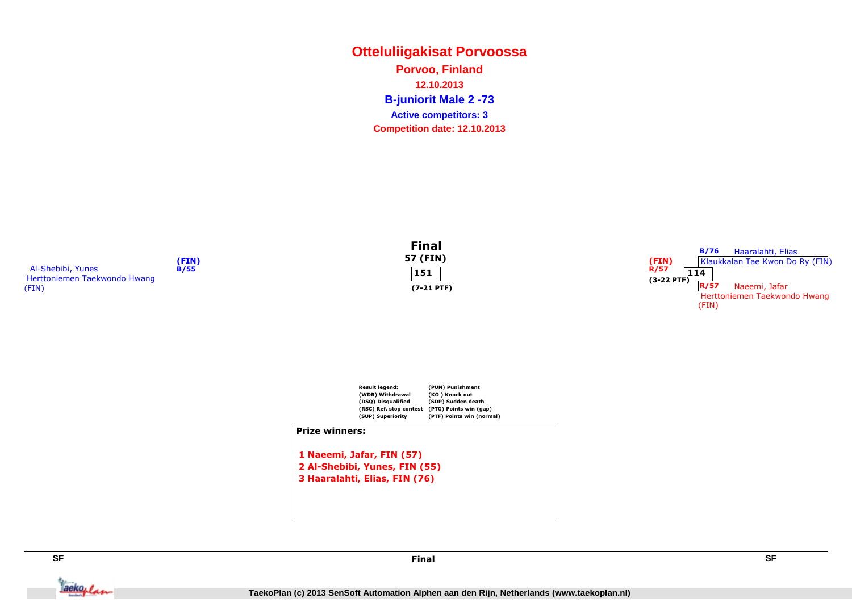### **Otteluliigakisat PorvoossaB-juniorit Male 2 -73 Active competitors: 3Porvoo, Finland12.10.2013Competition date: 12.10.2013**





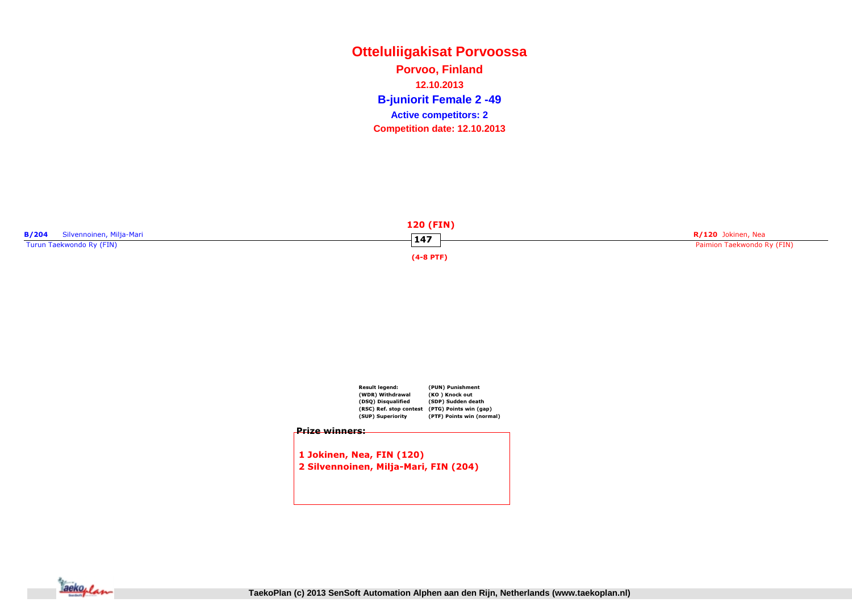**Otteluliigakisat PorvoossaB-juniorit Female 2 -49 Porvoo, Finland12.10.2013Competition date: 12.10.2013 Active competitors: 2**







**TaekoPlan (c) 2013 SenSoft Automation Alphen aan den Rijn, Netherlands (www.taekoplan.nl)**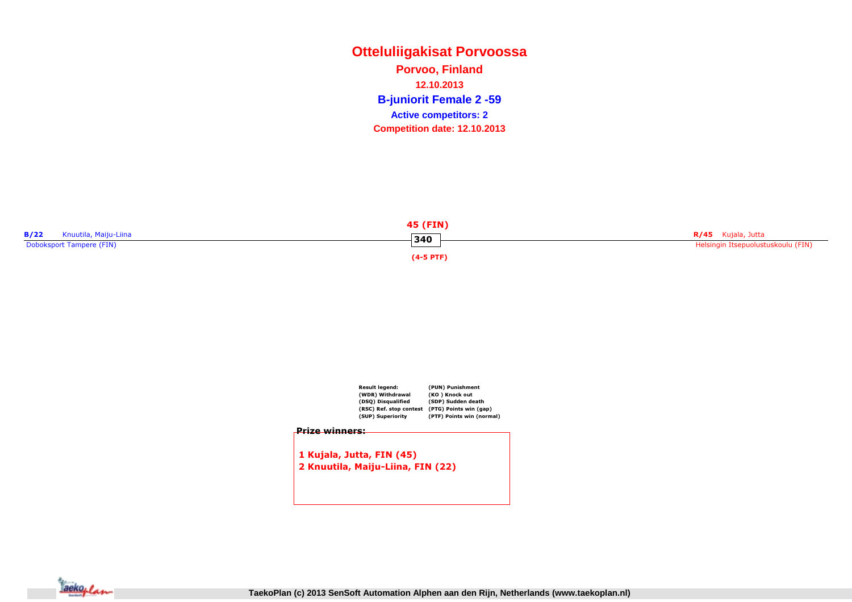### **Otteluliigakisat PorvoossaB-juniorit Female 2 -59 Porvoo, Finland12.10.2013Competition date: 12.10.2013 Active competitors: 2**





1 Kujala, Jutta, FIN (45)2 Knuutila, Maiju-Liina, FIN (22)

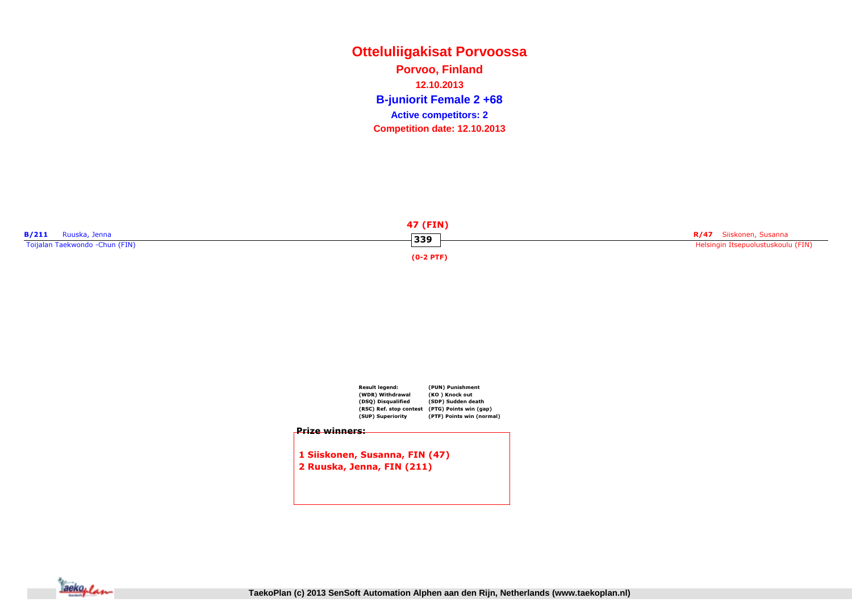**Otteluliigakisat PorvoossaB-juniorit Female 2 +68 Porvoo, Finland12.10.2013Competition date: 12.10.2013 Active competitors: 2**





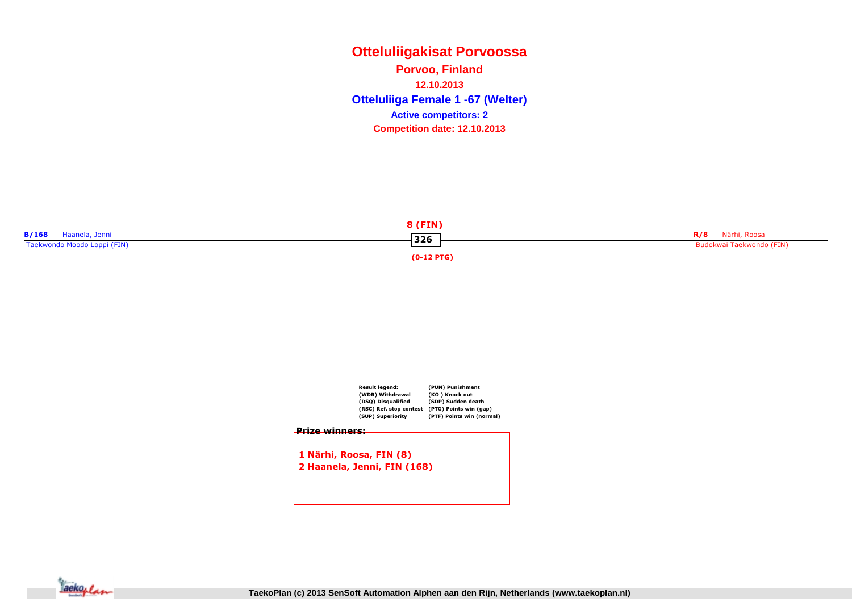**Otteluliigakisat PorvoossaOtteluliiga Female 1 -67 (Welter) Porvoo, Finland12.10.2013Competition date: 12.10.2013 Active competitors: 2**





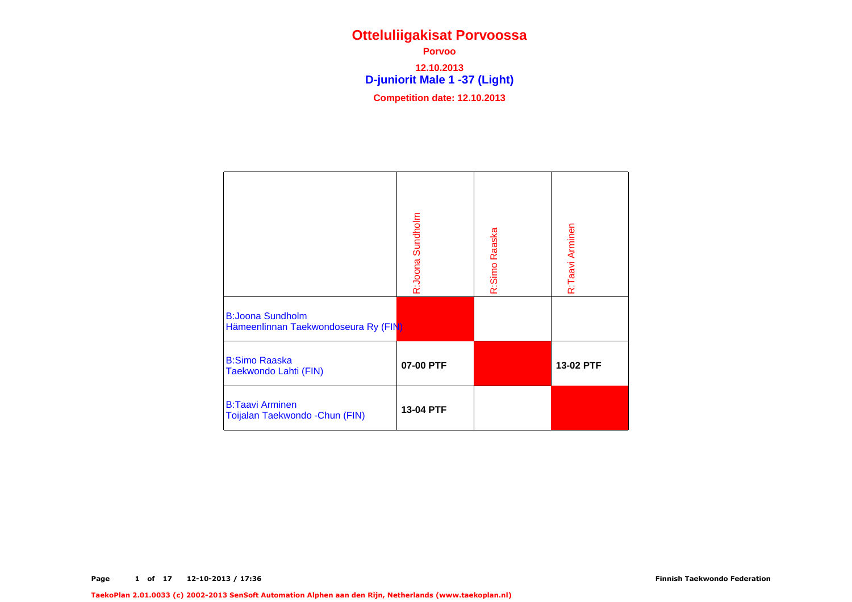**D-juniorit Male 1 -37 (Light) Porvoo 12.10.2013Competition date: 12.10.2013**

|                                                                 | R:Joona Sundholm | R:Simo Raaska | R:Taavi Arminen |
|-----------------------------------------------------------------|------------------|---------------|-----------------|
| <b>B:Joona Sundholm</b><br>Hämeenlinnan Taekwondoseura Ry (FIN) |                  |               |                 |
| <b>B:Simo Raaska</b><br>Taekwondo Lahti (FIN)                   | 07-00 PTF        |               | 13-02 PTF       |
| <b>B:Taavi Arminen</b><br>Toijalan Taekwondo - Chun (FIN)       | 13-04 PTF        |               |                 |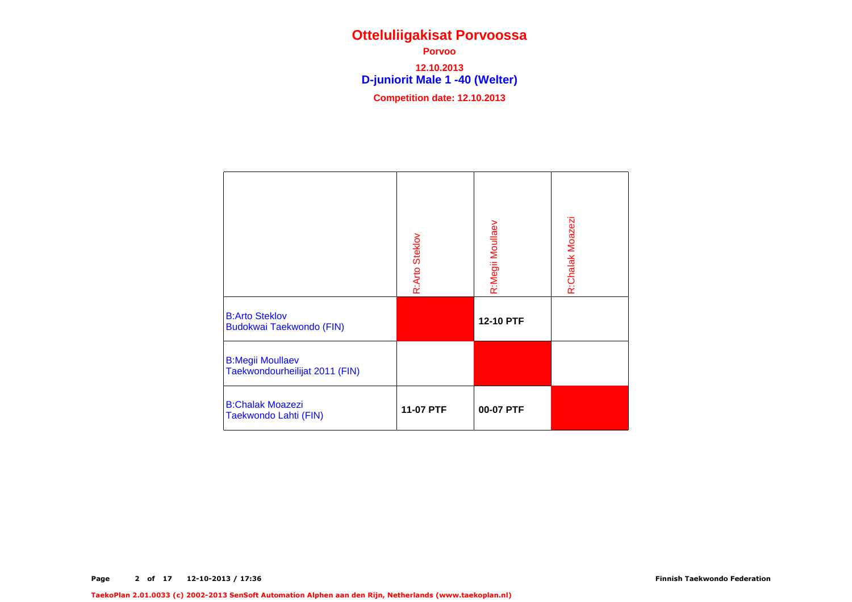**D-juniorit Male 1 -40 (Welter) Porvoo 12.10.2013Competition date: 12.10.2013**

|                                                           | R:Arto Steklov | R:Megii Moullaev | R:Chalak Moazezi |
|-----------------------------------------------------------|----------------|------------------|------------------|
| <b>B:Arto Steklov</b><br>Budokwai Taekwondo (FIN)         |                | 12-10 PTF        |                  |
| <b>B:Megii Moullaev</b><br>Taekwondourheilijat 2011 (FIN) |                |                  |                  |
| <b>B:Chalak Moazezi</b><br>Taekwondo Lahti (FIN)          | 11-07 PTF      | 00-07 PTF        |                  |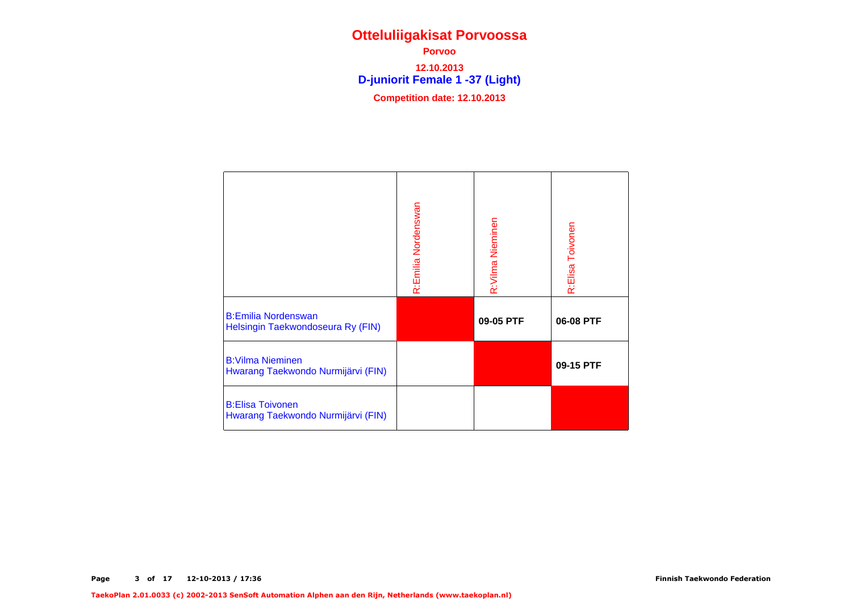**D-juniorit Female 1 -37 (Light) Porvoo 12.10.2013Competition date: 12.10.2013**

|                                                                 | R:Emilia Nordenswan | R: Vilma Nieminen | R:Elisa Toivonen |
|-----------------------------------------------------------------|---------------------|-------------------|------------------|
| <b>B:Emilia Nordenswan</b><br>Helsingin Taekwondoseura Ry (FIN) |                     | 09-05 PTF         | 06-08 PTF        |
| <b>B:Vilma Nieminen</b><br>Hwarang Taekwondo Nurmijärvi (FIN)   |                     |                   | 09-15 PTF        |
| <b>B:Elisa Toivonen</b><br>Hwarang Taekwondo Nurmijärvi (FIN)   |                     |                   |                  |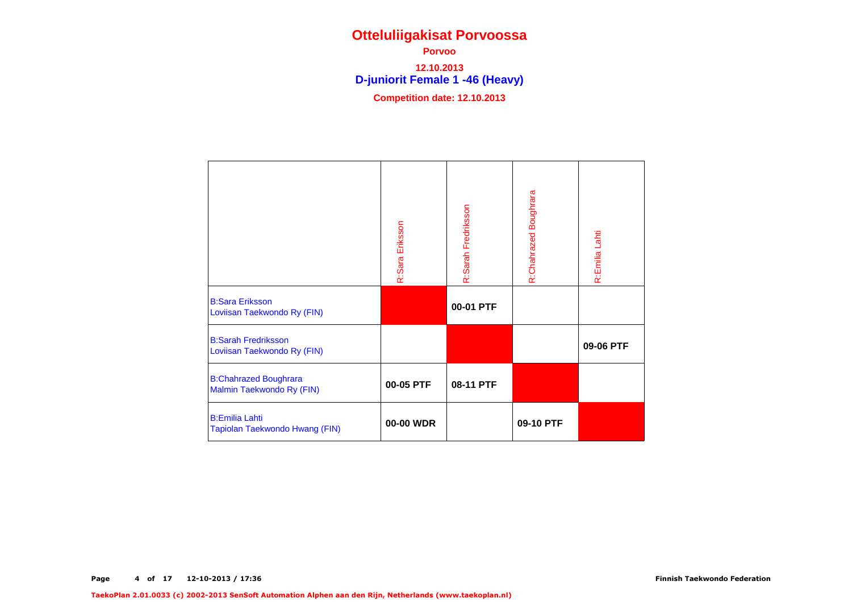**D-juniorit Female 1 -46 (Heavy) Porvoo 12.10.2013Competition date: 12.10.2013**

|                                                           | R:Sara Eriksson | R:Sarah Fredriksson | R:Chahrazed Boughrara | R:Emilia Lahti |
|-----------------------------------------------------------|-----------------|---------------------|-----------------------|----------------|
| <b>B:Sara Eriksson</b><br>Loviisan Taekwondo Ry (FIN)     |                 | 00-01 PTF           |                       |                |
| <b>B:Sarah Fredriksson</b><br>Loviisan Taekwondo Ry (FIN) |                 |                     |                       | 09-06 PTF      |
| <b>B:Chahrazed Boughrara</b><br>Malmin Taekwondo Ry (FIN) | 00-05 PTF       | 08-11 PTF           |                       |                |
| <b>B:Emilia Lahti</b><br>Tapiolan Taekwondo Hwang (FIN)   | 00-00 WDR       |                     | 09-10 PTF             |                |

TaekoPlan 2.01.0033 (c) 2002-2013 SenSoft Automation Alphen aan den Rijn, Netherlands (www.taekoplan.nl)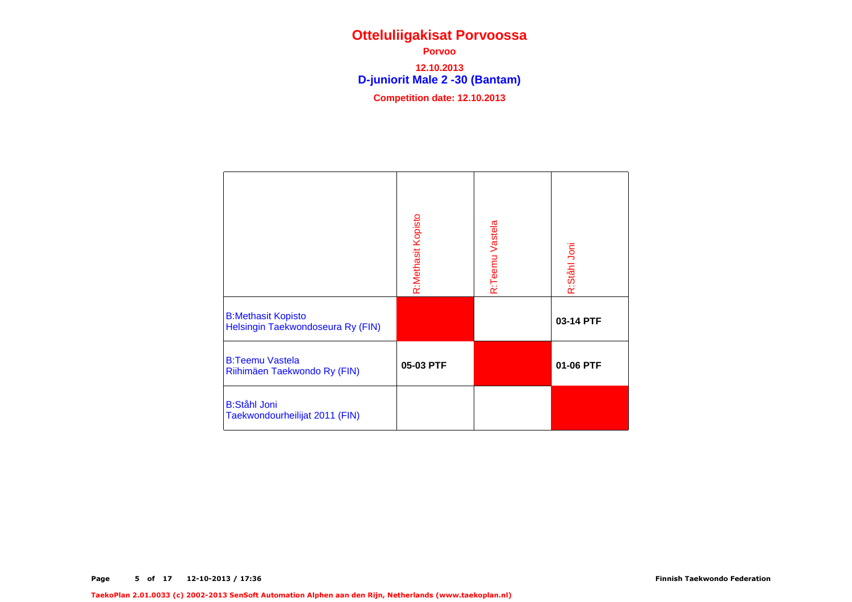**D-juniorit Male 2 -30 (Bantam) Porvoo12.10.2013**

|                                                                | R:Methasit Kopisto | R:Teemu Vastela | R:Stâhl Joni |
|----------------------------------------------------------------|--------------------|-----------------|--------------|
| <b>B:Methasit Kopisto</b><br>Helsingin Taekwondoseura Ry (FIN) |                    |                 | 03-14 PTF    |
| <b>B:Teemu Vastela</b><br>Riihimäen Taekwondo Ry (FIN)         | 05-03 PTF          |                 | 01-06 PTF    |
| <b>B:Ståhl Joni</b><br>Taekwondourheilijat 2011 (FIN)          |                    |                 |              |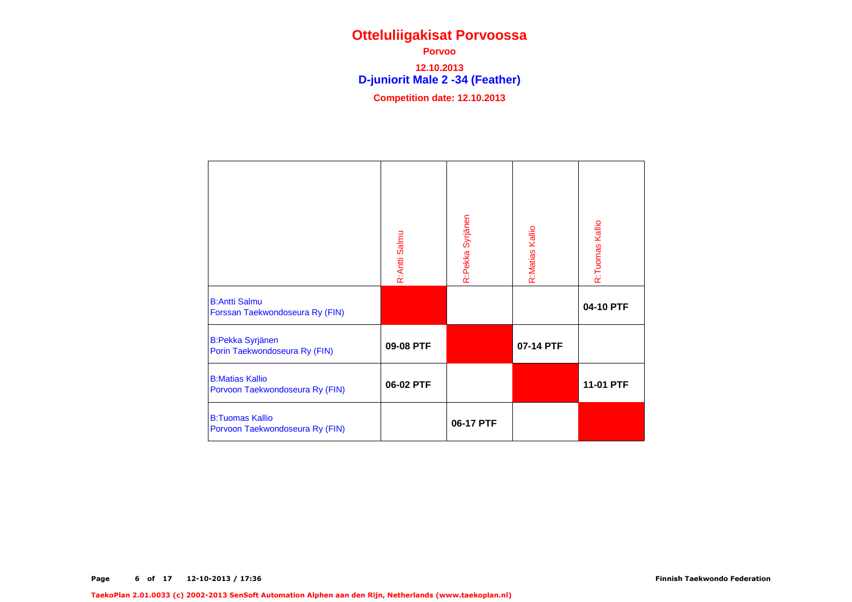**D-juniorit Male 2 -34 (Feather) Porvoo12.10.2013**

|                                                           | R:Antti Salmu | R:Pekka Syrjänen | R:Matias Kallio | R:Tuomas Kallio |
|-----------------------------------------------------------|---------------|------------------|-----------------|-----------------|
| <b>B:Antti Salmu</b><br>Forssan Taekwondoseura Ry (FIN)   |               |                  |                 | 04-10 PTF       |
| <b>B:Pekka Syrjänen</b><br>Porin Taekwondoseura Ry (FIN)  | 09-08 PTF     |                  | 07-14 PTF       |                 |
| <b>B:Matias Kallio</b><br>Porvoon Taekwondoseura Ry (FIN) | 06-02 PTF     |                  |                 | 11-01 PTF       |
| <b>B:Tuomas Kallio</b><br>Porvoon Taekwondoseura Ry (FIN) |               | 06-17 PTF        |                 |                 |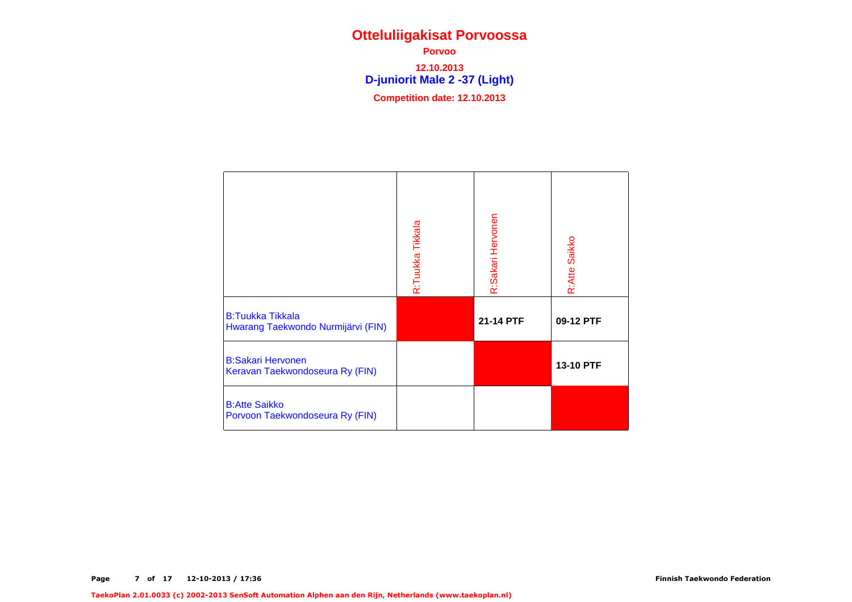**D-juniorit Male 2 -37 (Light) Porvoo 12.10.2013Competition date: 12.10.2013**

|                                                               | R:Tuukka Tikkala | R:Sakari Hervonen | R:Atte Saikko |
|---------------------------------------------------------------|------------------|-------------------|---------------|
| <b>B:Tuukka Tikkala</b><br>Hwarang Taekwondo Nurmijärvi (FIN) |                  | 21-14 PTF         | 09-12 PTF     |
| <b>B:Sakari Hervonen</b><br>Keravan Taekwondoseura Ry (FIN)   |                  |                   | 13-10 PTF     |
| <b>B:Atte Saikko</b><br>Porvoon Taekwondoseura Ry (FIN)       |                  |                   |               |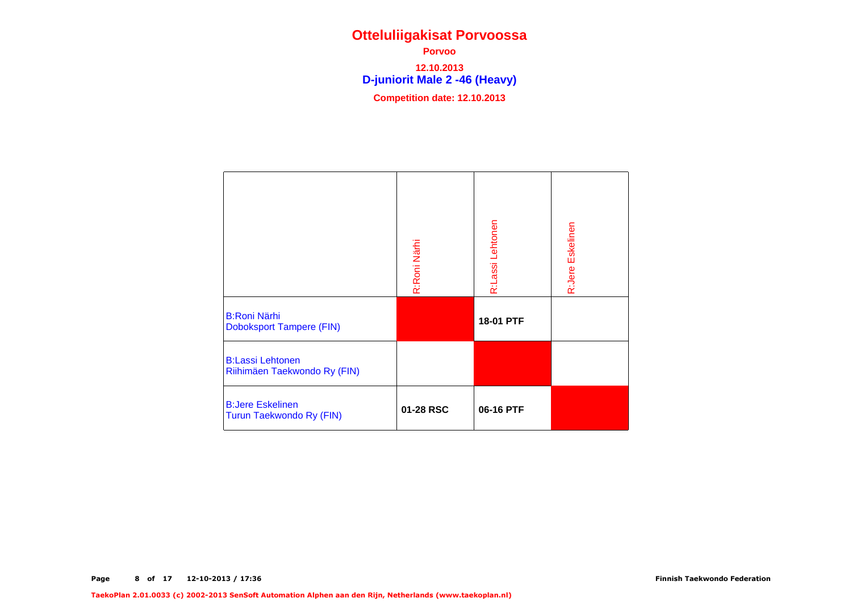**D-juniorit Male 2 -46 (Heavy) Porvoo 12.10.2013Competition date: 12.10.2013**

|                                                         | R:Roni Närhi | R:Lassi Lehtonen | R:Jere Eskelinen |
|---------------------------------------------------------|--------------|------------------|------------------|
| <b>B:Roni Närhi</b><br><b>Doboksport Tampere (FIN)</b>  |              | 18-01 PTF        |                  |
| <b>B:Lassi Lehtonen</b><br>Riihimäen Taekwondo Ry (FIN) |              |                  |                  |
| <b>B:Jere Eskelinen</b><br>Turun Taekwondo Ry (FIN)     | 01-28 RSC    | 06-16 PTF        |                  |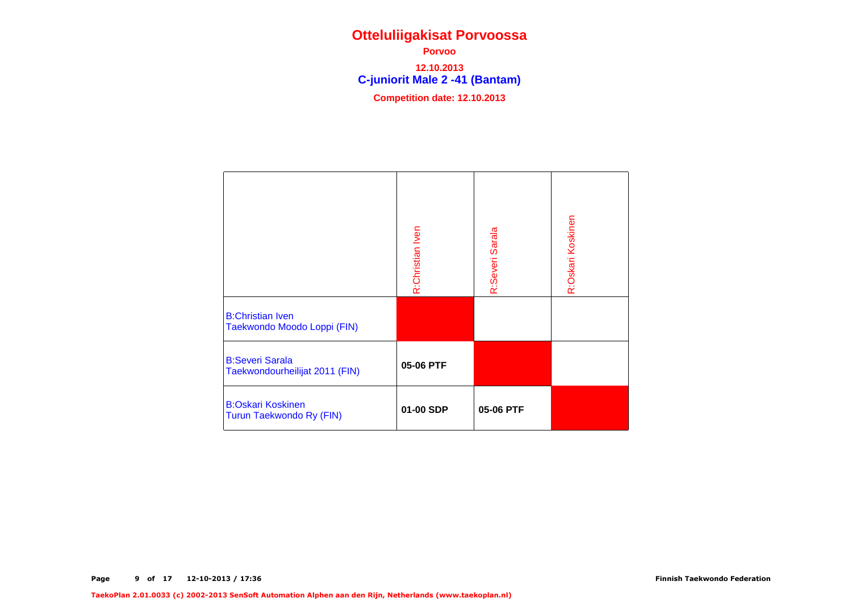**C-juniorit Male 2 -41 (Bantam) Porvoo 12.10.2013Competition date: 12.10.2013**

|                                                          | R:Christian Iven | R:Severi Sarala | R:Oskari Koskinen |
|----------------------------------------------------------|------------------|-----------------|-------------------|
| <b>B:Christian Iven</b><br>Taekwondo Moodo Loppi (FIN)   |                  |                 |                   |
| <b>B:Severi Sarala</b><br>Taekwondourheilijat 2011 (FIN) | 05-06 PTF        |                 |                   |
| <b>B:Oskari Koskinen</b><br>Turun Taekwondo Ry (FIN)     | 01-00 SDP        | 05-06 PTF       |                   |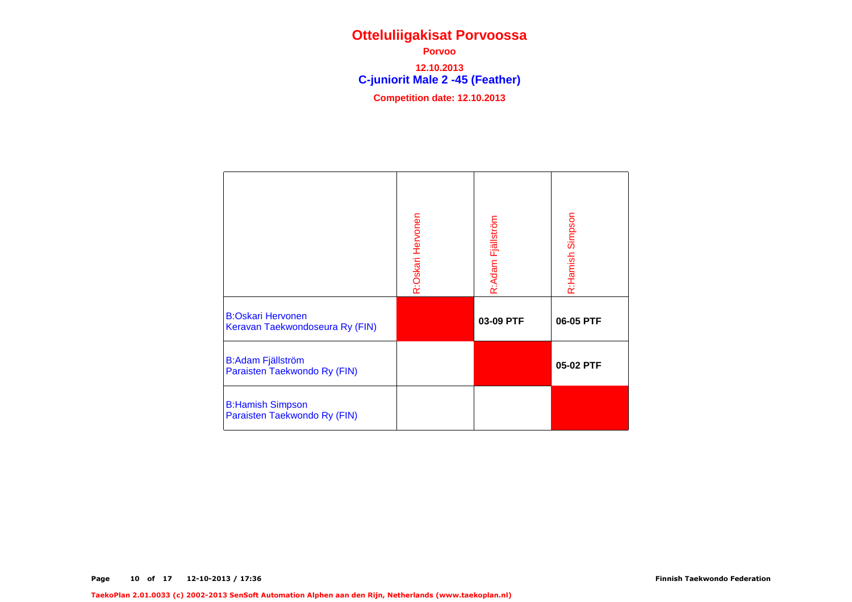**C-juniorit Male 2 -45 (Feather) Porvoo 12.10.2013Competition date: 12.10.2013**

|                                                             | R:Oskari Hervonen | R:Adam Fjällström | R:Hamish Simpson |
|-------------------------------------------------------------|-------------------|-------------------|------------------|
| <b>B:Oskari Hervonen</b><br>Keravan Taekwondoseura Ry (FIN) |                   | 03-09 PTF         | 06-05 PTF        |
| <b>B:Adam Fjällström</b><br>Paraisten Taekwondo Ry (FIN)    |                   |                   | 05-02 PTF        |
| <b>B:Hamish Simpson</b><br>Paraisten Taekwondo Ry (FIN)     |                   |                   |                  |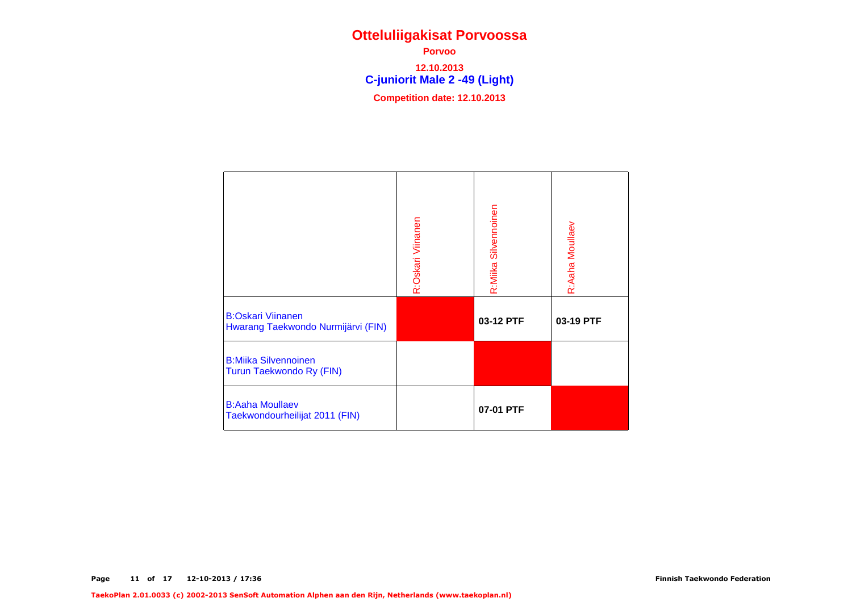**C-juniorit Male 2 -49 (Light) Porvoo 12.10.2013Competition date: 12.10.2013**

|                                                                | R:Oskari Viinanen | R:Miika Silvennoinen | R:Aaha Moullaev |
|----------------------------------------------------------------|-------------------|----------------------|-----------------|
| <b>B:Oskari Viinanen</b><br>Hwarang Taekwondo Nurmijärvi (FIN) |                   | 03-12 PTF            | 03-19 PTF       |
| <b>B:Miika Silvennoinen</b><br>Turun Taekwondo Ry (FIN)        |                   |                      |                 |
| <b>B:Aaha Moullaev</b><br>Taekwondourheilijat 2011 (FIN)       |                   | 07-01 PTF            |                 |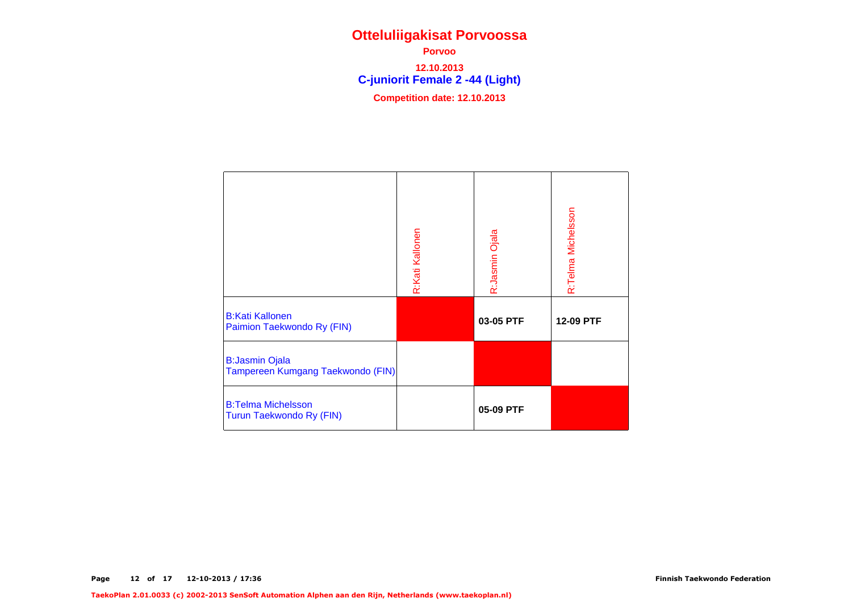**C-juniorit Female 2 -44 (Light) Porvoo 12.10.2013Competition date: 12.10.2013**

|                                                            | R:Kati Kallonen | R:Jasmin Ojala | R:Telma Michelsson |
|------------------------------------------------------------|-----------------|----------------|--------------------|
| <b>B:Kati Kallonen</b><br>Paimion Taekwondo Ry (FIN)       |                 | 03-05 PTF      | 12-09 PTF          |
| <b>B:Jasmin Ojala</b><br>Tampereen Kumgang Taekwondo (FIN) |                 |                |                    |
| <b>B:Telma Michelsson</b><br>Turun Taekwondo Ry (FIN)      |                 | 05-09 PTF      |                    |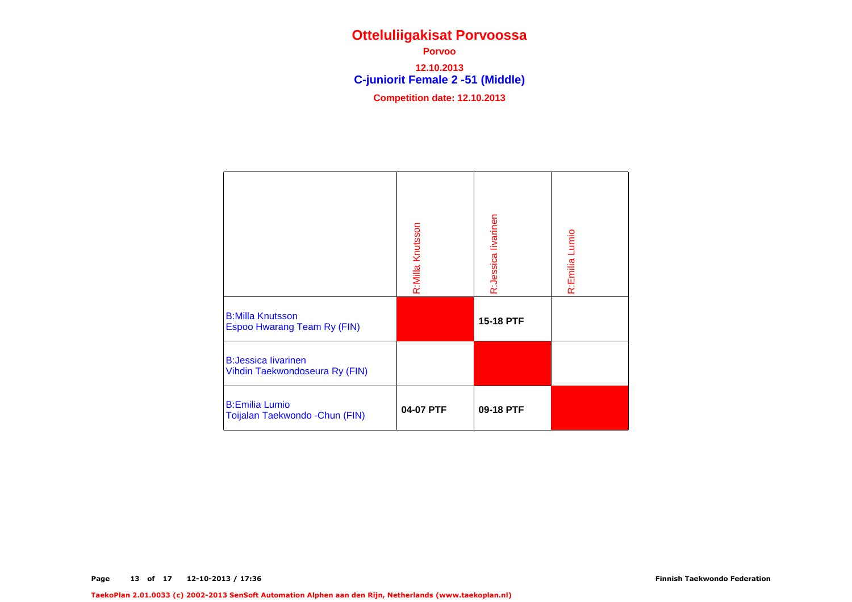**C-juniorit Female 2 -51 (Middle) Porvoo 12.10.2013Competition date: 12.10.2013**

|                                                              | R:Milla Knutsson | R:Jessica livarinen | R:Emilia Lumio |
|--------------------------------------------------------------|------------------|---------------------|----------------|
| <b>B:Milla Knutsson</b><br>Espoo Hwarang Team Ry (FIN)       |                  | 15-18 PTF           |                |
| <b>B:Jessica livarinen</b><br>Vihdin Taekwondoseura Ry (FIN) |                  |                     |                |
| <b>B:Emilia Lumio</b><br>Toijalan Taekwondo - Chun (FIN)     | 04-07 PTF        | 09-18 PTF           |                |

TaekoPlan 2.01.0033 (c) 2002-2013 SenSoft Automation Alphen aan den Rijn, Netherlands (www.taekoplan.nl)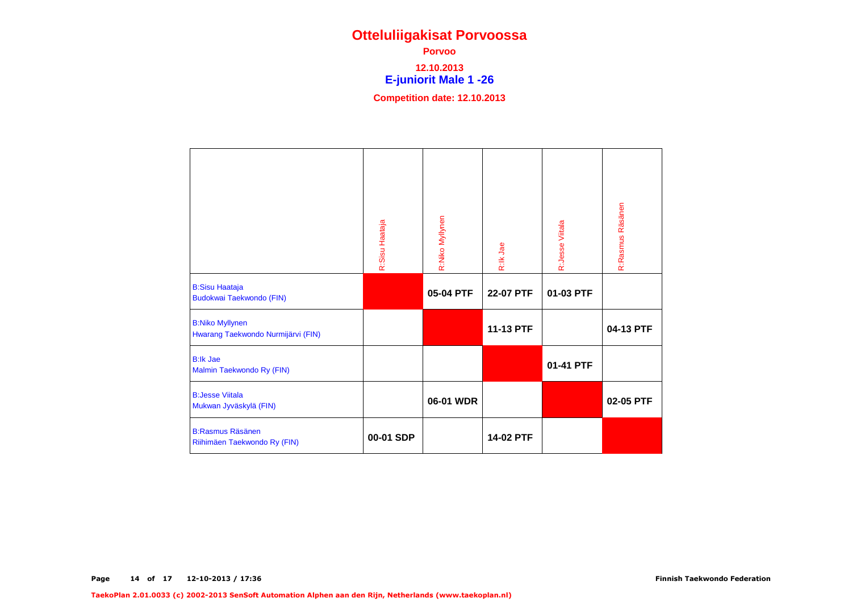#### **E-juniorit Male 1 -26 Porvoo12.10.2013**

|                                                              | R:Sisu Haataja | R:Niko Myllynen | R:Ik Jae  | R:Jesse Viitala | R:Rasmus Räsänen |
|--------------------------------------------------------------|----------------|-----------------|-----------|-----------------|------------------|
| <b>B:Sisu Haataja</b><br><b>Budokwai Taekwondo (FIN)</b>     |                | 05-04 PTF       | 22-07 PTF | 01-03 PTF       |                  |
| <b>B:Niko Myllynen</b><br>Hwarang Taekwondo Nurmijärvi (FIN) |                |                 | 11-13 PTF |                 | 04-13 PTF        |
| <b>B:lk Jae</b><br>Malmin Taekwondo Ry (FIN)                 |                |                 |           | 01-41 PTF       |                  |
| <b>B:Jesse Viitala</b><br>Mukwan Jyväskylä (FIN)             |                | 06-01 WDR       |           |                 | 02-05 PTF        |
| <b>B:Rasmus Räsänen</b><br>Riihimäen Taekwondo Ry (FIN)      | 00-01 SDP      |                 | 14-02 PTF |                 |                  |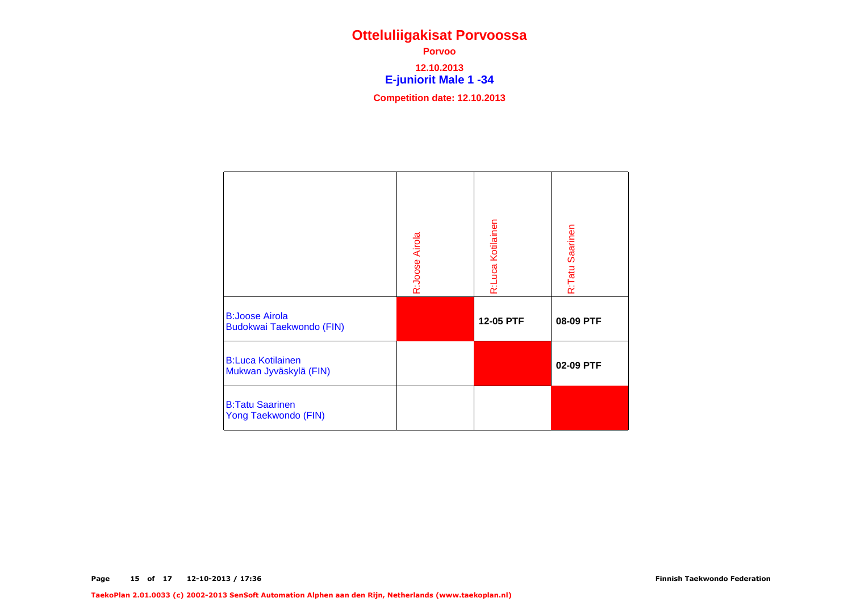**E-juniorit Male 1 -34 Porvoo12.10.2013**

|                                                          | R:Joose Airola | R:Luca Kotilainen | R:Tatu Saarinen |
|----------------------------------------------------------|----------------|-------------------|-----------------|
| <b>B:Joose Airola</b><br><b>Budokwai Taekwondo (FIN)</b> |                | 12-05 PTF         | 08-09 PTF       |
| <b>B:Luca Kotilainen</b><br>Mukwan Jyväskylä (FIN)       |                |                   | 02-09 PTF       |
| <b>B:Tatu Saarinen</b><br>Yong Taekwondo (FIN)           |                |                   |                 |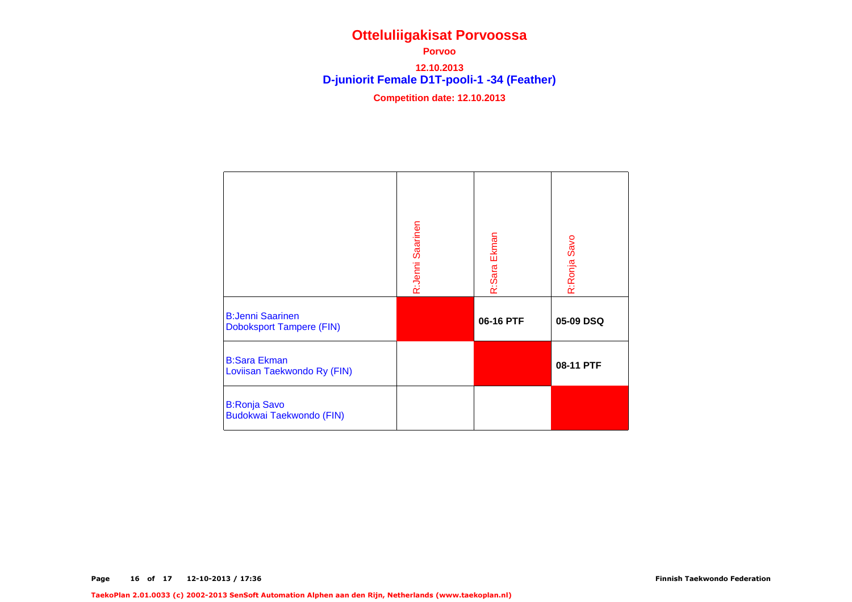**D-juniorit Female D1T-pooli-1 -34 (Feather) Porvoo12.10.2013**

|                                                            | R:Jenni Saarinen | R:Sara Ekman | R:Ronja Savo |
|------------------------------------------------------------|------------------|--------------|--------------|
| <b>B:Jenni Saarinen</b><br><b>Doboksport Tampere (FIN)</b> |                  | 06-16 PTF    | 05-09 DSQ    |
| <b>B:Sara Ekman</b><br>Loviisan Taekwondo Ry (FIN)         |                  |              | 08-11 PTF    |
| <b>B:Ronja Savo</b><br><b>Budokwai Taekwondo (FIN)</b>     |                  |              |              |